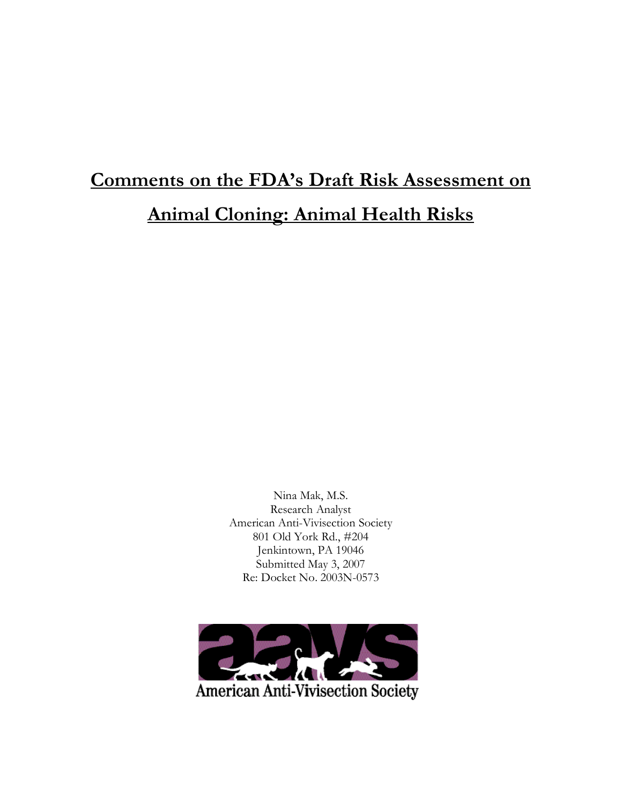# **Comments on the FDA's Draft Risk Assessment on Animal Cloning: Animal Health Risks**

Nina Mak, M.S. Research Analyst American Anti-Vivisection Society 801 Old York Rd., #204 Jenkintown, PA 19046 Submitted May 3, 2007 Re: Docket No. 2003N-0573

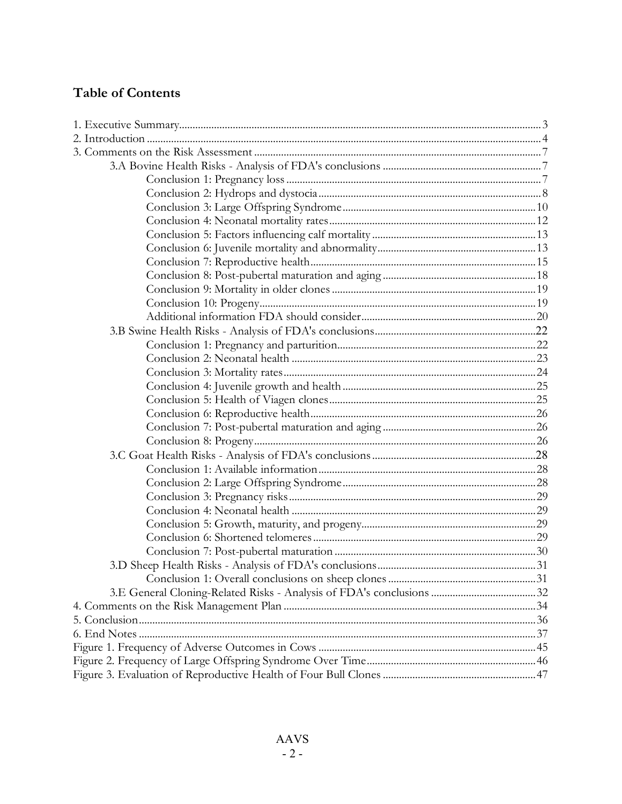# **Table of Contents**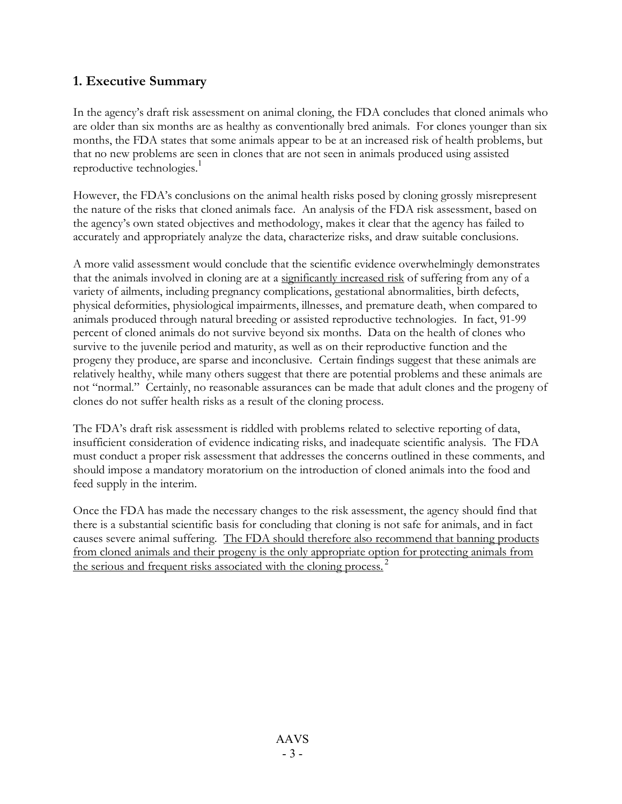# **1. Executive Summary**

In the agency's draft risk assessment on animal cloning, the FDA concludes that cloned animals who are older than six months are as healthy as conventionally bred animals. For clones younger than six months, the FDA states that some animals appear to be at an increased risk of health problems, but that no new problems are seen in clones that are not seen in animals produced using assisted reproductive technologies. 1

However, the FDA's conclusions on the animal health risks posed by cloning grossly misrepresent the nature of the risks that cloned animals face. An analysis of the FDA risk assessment, based on the agency's own stated objectives and methodology, makes it clear that the agency has failed to accurately and appropriately analyze the data, characterize risks, and draw suitable conclusions.

A more valid assessment would conclude that the scientific evidence overwhelmingly demonstrates that the animals involved in cloning are at a significantly increased risk of suffering from any of a variety of ailments, including pregnancy complications, gestational abnormalities, birth defects, physical deformities, physiological impairments, illnesses, and premature death, when compared to animals produced through natural breeding or assisted reproductive technologies. In fact, 91-99 percent of cloned animals do not survive beyond six months. Data on the health of clones who survive to the juvenile period and maturity, as well as on their reproductive function and the progeny they produce, are sparse and inconclusive. Certain findings suggest that these animals are relatively healthy, while many others suggest that there are potential problems and these animals are not "normal." Certainly, no reasonable assurances can be made that adult clones and the progeny of clones do not suffer health risks as a result of the cloning process.

The FDA's draft risk assessment is riddled with problems related to selective reporting of data, insufficient consideration of evidence indicating risks, and inadequate scientific analysis. The FDA must conduct a proper risk assessment that addresses the concerns outlined in these comments, and should impose a mandatory moratorium on the introduction of cloned animals into the food and feed supply in the interim.

Once the FDA has made the necessary changes to the risk assessment, the agency should find that there is a substantial scientific basis for concluding that cloning is not safe for animals, and in fact causes severe animal suffering. The FDA should therefore also recommend that banning products from cloned animals and their progeny is the only appropriate option for protecting animals from the serious and frequent risks associated with the cloning process.<sup>2</sup>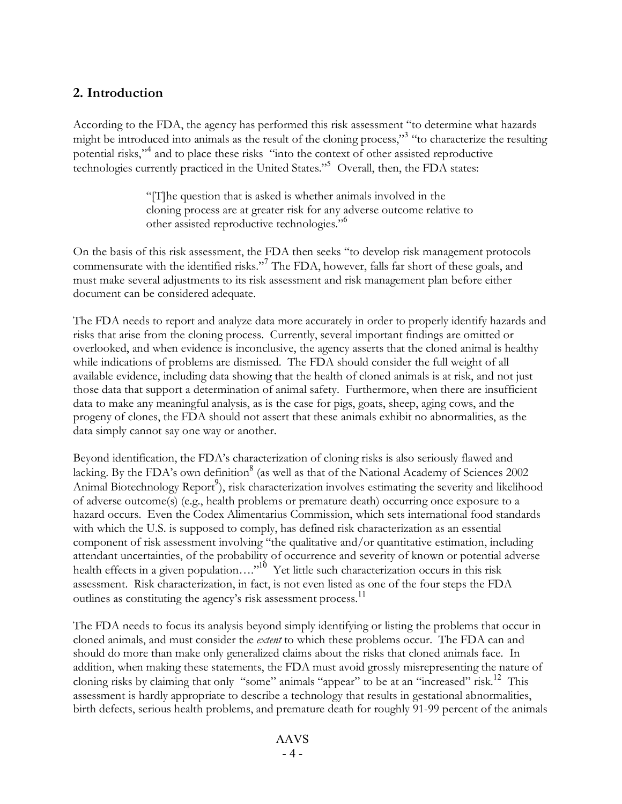# **2. Introduction**

According to the FDA, the agency has performed this risk assessment "to determine what hazards might be introduced into animals as the result of the cloning process,"<sup>3</sup> "to characterize the resulting potential risks," 4 and to place these risks "into the context of other assisted reproductive technologies currently practiced in the United States." <sup>5</sup> Overall, then, the FDA states:

> "[T]he question that is asked is whether animals involved in the cloning process are at greater risk for any adverse outcome relative to other assisted reproductive technologies."<sup>6</sup>

On the basis of this risk assessment, the FDA then seeks "to develop risk management protocols commensurate with the identified risks."<sup>7</sup> The FDA, however, falls far short of these goals, and must make several adjustments to its risk assessment and risk management plan before either document can be considered adequate.

The FDA needs to report and analyze data more accurately in order to properly identify hazards and risks that arise from the cloning process. Currently, several important findings are omitted or overlooked, and when evidence is inconclusive, the agency asserts that the cloned animal is healthy while indications of problems are dismissed. The FDA should consider the full weight of all available evidence, including data showing that the health of cloned animals is at risk, and not just those data that support a determination of animal safety. Furthermore, when there are insufficient data to make any meaningful analysis, as is the case for pigs, goats, sheep, aging cows, and the progeny of clones, the FDA should not assert that these animals exhibit no abnormalities, as the data simply cannot say one way or another.

Beyond identification, the FDA's characterization of cloning risks is also seriously flawed and lacking. By the FDA's own definition<sup>8</sup> (as well as that of the National Academy of Sciences 2002 Animal Biotechnology Report<sup>9</sup>), risk characterization involves estimating the severity and likelihood of adverse outcome(s) (e.g., health problems or premature death) occurring once exposure to a hazard occurs. Even the Codex Alimentarius Commission, which sets international food standards with which the U.S. is supposed to comply, has defined risk characterization as an essential component of risk assessment involving "the qualitative and/or quantitative estimation, including attendant uncertainties, of the probability of occurrence and severity of known or potential adverse health effects in a given population...."<sup>10</sup> Yet little such characterization occurs in this risk assessment. Risk characterization, in fact, is not even listed as one of the four steps the FDA outlines as constituting the agency's risk assessment process.<sup>11</sup>

The FDA needs to focus its analysis beyond simply identifying or listing the problems that occur in cloned animals, and must consider the *extent* to which these problems occur. The FDA can and should do more than make only generalized claims about the risks that cloned animals face. In addition, when making these statements, the FDA must avoid grossly misrepresenting the nature of cloning risks by claiming that only "some" animals "appear" to be at an "increased" risk.<sup>12</sup> This assessment is hardly appropriate to describe a technology that results in gestational abnormalities, birth defects, serious health problems, and premature death for roughly 91-99 percent of the animals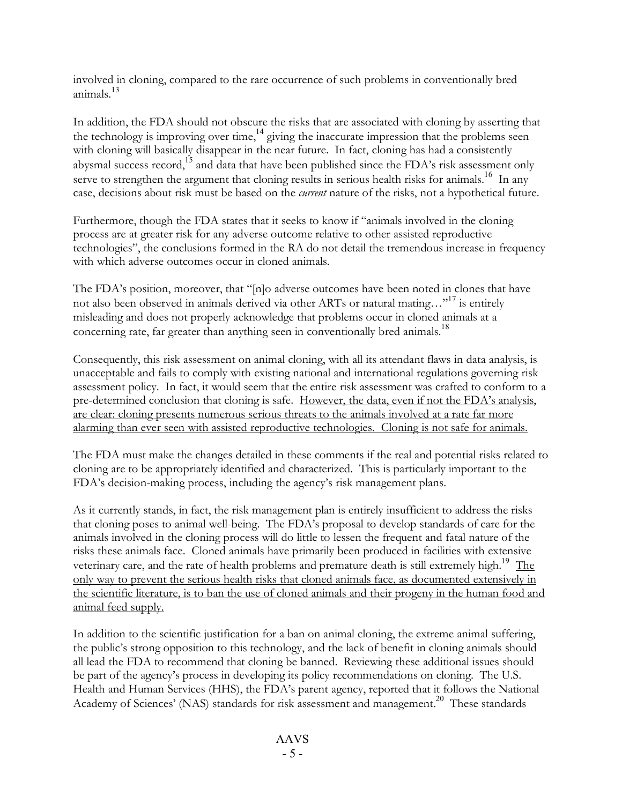involved in cloning, compared to the rare occurrence of such problems in conventionally bred animals. 13

In addition, the FDA should not obscure the risks that are associated with cloning by asserting that the technology is improving over time,<sup>14</sup> giving the inaccurate impression that the problems seen with cloning will basically disappear in the near future. In fact, cloning has had a consistently abysmal success record,<sup>15</sup> and data that have been published since the FDA's risk assessment only serve to strengthen the argument that cloning results in serious health risks for animals.<sup>16</sup> In any case, decisions about risk must be based on the *current* nature of the risks, not a hypothetical future.

Furthermore, though the FDA states that it seeks to know if "animals involved in the cloning process are at greater risk for any adverse outcome relative to other assisted reproductive technologies", the conclusions formed in the RA do not detail the tremendous increase in frequency with which adverse outcomes occur in cloned animals.

The FDA's position, moreover, that "[n]o adverse outcomes have been noted in clones that have not also been observed in animals derived via other ARTs or natural mating…"<sup>17</sup> is entirely misleading and does not properly acknowledge that problems occur in cloned animals at a concerning rate, far greater than anything seen in conventionally bred animals.<sup>18</sup>

Consequently, this risk assessment on animal cloning, with all its attendant flaws in data analysis, is unacceptable and fails to comply with existing national and international regulations governing risk assessment policy. In fact, it would seem that the entire risk assessment was crafted to conform to a pre-determined conclusion that cloning is safe. However, the data, even if not the FDA's analysis, are clear: cloning presents numerous serious threats to the animals involved at a rate far more alarming than ever seen with assisted reproductive technologies. Cloning is not safe for animals.

The FDA must make the changes detailed in these comments if the real and potential risks related to cloning are to be appropriately identified and characterized. This is particularly important to the FDA's decision-making process, including the agency's risk management plans.

As it currently stands, in fact, the risk management plan is entirely insufficient to address the risks that cloning poses to animal well-being. The FDA's proposal to develop standards of care for the animals involved in the cloning process will do little to lessen the frequent and fatal nature of the risks these animals face. Cloned animals have primarily been produced in facilities with extensive veterinary care, and the rate of health problems and premature death is still extremely high.<sup>19</sup> The only way to prevent the serious health risks that cloned animals face, as documented extensively in the scientific literature, is to ban the use of cloned animals and their progeny in the human food and animal feed supply.

In addition to the scientific justification for a ban on animal cloning, the extreme animal suffering, the public's strong opposition to this technology, and the lack of benefit in cloning animals should all lead the FDA to recommend that cloning be banned. Reviewing these additional issues should be part of the agency's process in developing its policy recommendations on cloning. The U.S. Health and Human Services (HHS), the FDA's parent agency, reported that it follows the National Academy of Sciences' (NAS) standards for risk assessment and management. <sup>20</sup> These standards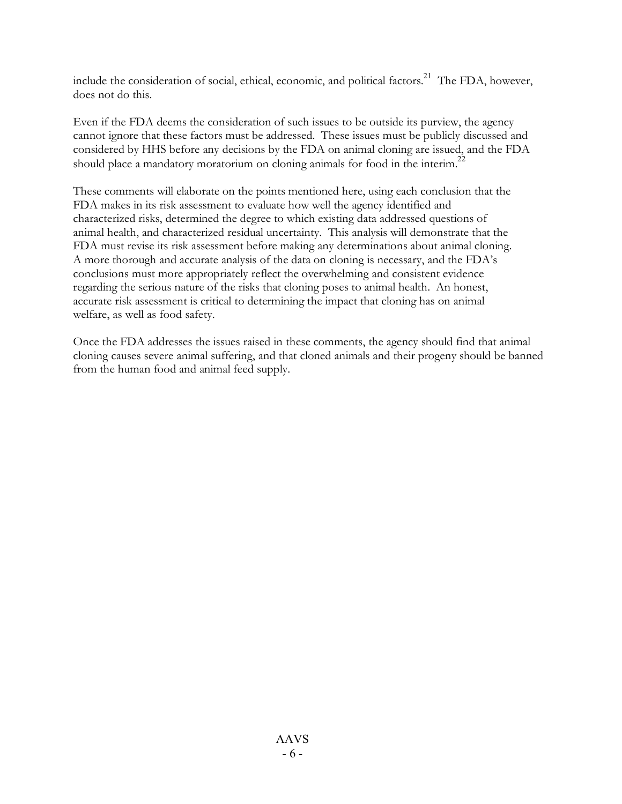include the consideration of social, ethical, economic, and political factors. $^{21}$  The FDA, however, does not do this.

Even if the FDA deems the consideration of such issues to be outside its purview, the agency cannot ignore that these factors must be addressed. These issues must be publicly discussed and considered by HHS before any decisions by the FDA on animal cloning are issued, and the FDA should place a mandatory moratorium on cloning animals for food in the interim.<sup>22</sup>

These comments will elaborate on the points mentioned here, using each conclusion that the FDA makes in its risk assessment to evaluate how well the agency identified and characterized risks, determined the degree to which existing data addressed questions of animal health, and characterized residual uncertainty. This analysis will demonstrate that the FDA must revise its risk assessment before making any determinations about animal cloning. A more thorough and accurate analysis of the data on cloning is necessary, and the FDA's conclusions must more appropriately reflect the overwhelming and consistent evidence regarding the serious nature of the risks that cloning poses to animal health. An honest, accurate risk assessment is critical to determining the impact that cloning has on animal welfare, as well as food safety.

Once the FDA addresses the issues raised in these comments, the agency should find that animal cloning causes severe animal suffering, and that cloned animals and their progeny should be banned from the human food and animal feed supply.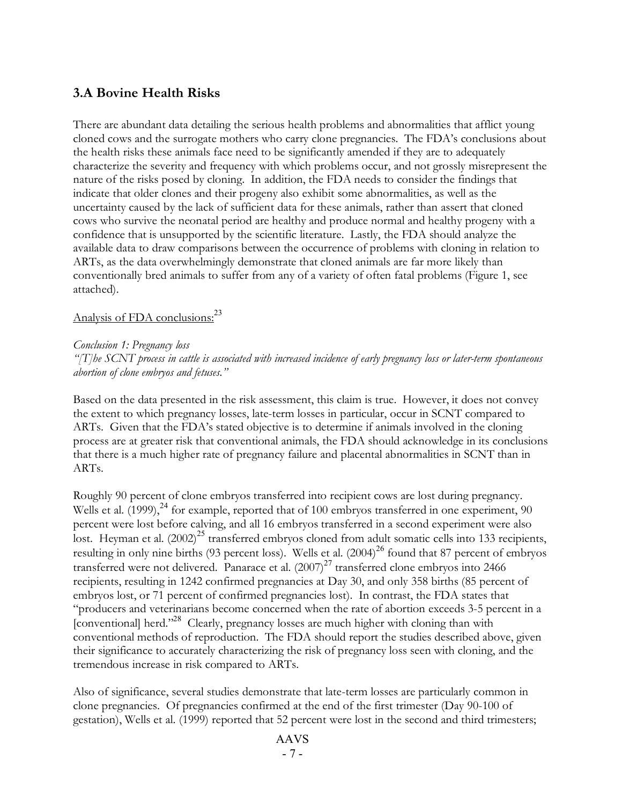# **3.A Bovine Health Risks**

There are abundant data detailing the serious health problems and abnormalities that afflict young cloned cows and the surrogate mothers who carry clone pregnancies. The FDA's conclusions about the health risks these animals face need to be significantly amended if they are to adequately characterize the severity and frequency with which problems occur, and not grossly misrepresent the nature of the risks posed by cloning. In addition, the FDA needs to consider the findings that indicate that older clones and their progeny also exhibit some abnormalities, as well as the uncertainty caused by the lack of sufficient data for these animals, rather than assert that cloned cows who survive the neonatal period are healthy and produce normal and healthy progeny with a confidence that is unsupported by the scientific literature. Lastly, the FDA should analyze the available data to draw comparisons between the occurrence of problems with cloning in relation to ARTs, as the data overwhelmingly demonstrate that cloned animals are far more likely than conventionally bred animals to suffer from any of a variety of often fatal problems (Figure 1, see attached).

# Analysis of FDA conclusions:<sup>23</sup>

#### *Conclusion 1: Pregnancy loss*

"[T]be SCNT process in cattle is associated with increased incidence of early pregnancy loss or later-term spontaneous *abortion of clone embryos and fetuses."*

Based on the data presented in the risk assessment, this claim is true. However, it does not convey the extent to which pregnancy losses, late-term losses in particular, occur in SCNT compared to ARTs. Given that the FDA's stated objective is to determine if animals involved in the cloning process are at greater risk that conventional animals, the FDA should acknowledge in its conclusions that there is a much higher rate of pregnancy failure and placental abnormalities in SCNT than in ARTs.

Roughly 90 percent of clone embryos transferred into recipient cows are lost during pregnancy. Wells et al. (1999),<sup>24</sup> for example, reported that of 100 embryos transferred in one experiment, 90 percent were lost before calving, and all 16 embryos transferred in a second experiment were also lost. Heyman et al. (2002)<sup>25</sup> transferred embryos cloned from adult somatic cells into 133 recipients, resulting in only nine births (93 percent loss). Wells et al. (2004) <sup>26</sup> found that 87 percent of embryos transferred were not delivered. Panarace et al.  $(2007)^{27}$  transferred clone embryos into 2466 recipients, resulting in 1242 confirmed pregnancies at Day 30, and only 358 births (85 percent of embryos lost, or 71 percent of confirmed pregnancies lost). In contrast, the FDA states that "producers and veterinarians become concerned when the rate of abortion exceeds 3-5 percent in a [conventional] herd."<sup>28</sup> Clearly, pregnancy losses are much higher with cloning than with conventional methods of reproduction. The FDA should report the studies described above, given their significance to accurately characterizing the risk of pregnancy loss seen with cloning, and the tremendous increase in risk compared to ARTs.

Also of significance, several studies demonstrate that late-term losses are particularly common in clone pregnancies. Of pregnancies confirmed at the end of the first trimester (Day 90-100 of gestation), Wells et al. (1999) reported that 52 percent were lost in the second and third trimesters;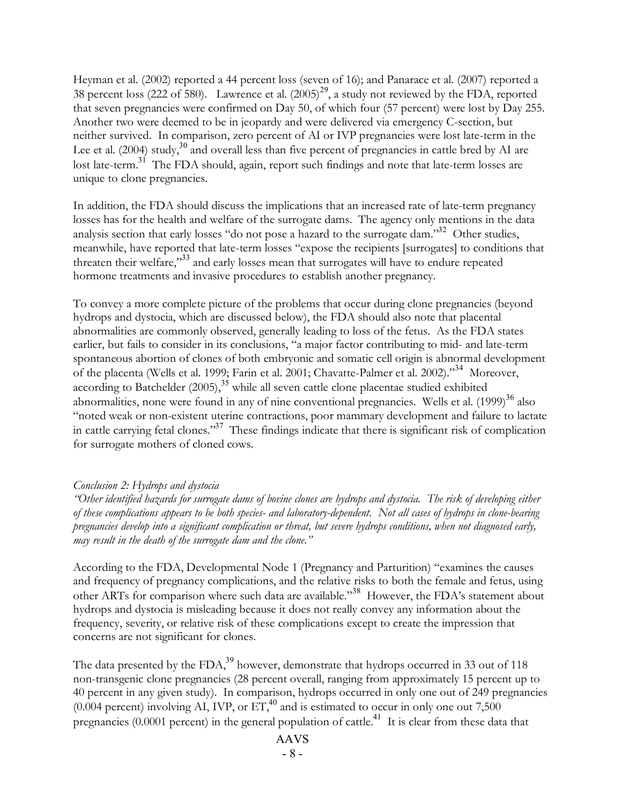Heyman et al. (2002) reported a 44 percent loss (seven of 16); and Panarace et al. (2007) reported a 38 percent loss (222 of 580). Lawrence et al.  $(2005)^{29}$ , a study not reviewed by the FDA, reported that seven pregnancies were confirmed on Day 50, of which four (57 percent) were lost by Day 255. Another two were deemed to be in jeopardy and were delivered via emergency C-section, but neither survived. In comparison, zero percent of AI or IVP pregnancies were lost late-term in the Lee et al. (2004) study,<sup>30</sup> and overall less than five percent of pregnancies in cattle bred by AI are lost late-term.<sup>31</sup> The FDA should, again, report such findings and note that late-term losses are unique to clone pregnancies.

In addition, the FDA should discuss the implications that an increased rate of late-term pregnancy losses has for the health and welfare of the surrogate dams. The agency only mentions in the data analysis section that early losses "do not pose a hazard to the surrogate dam."<sup>32</sup> Other studies, meanwhile, have reported that late-term losses "expose the recipients [surrogates] to conditions that threaten their welfare,"<sup>33</sup> and early losses mean that surrogates will have to endure repeated hormone treatments and invasive procedures to establish another pregnancy.

To convey a more complete picture of the problems that occur during clone pregnancies (beyond hydrops and dystocia, which are discussed below), the FDA should also note that placental abnormalities are commonly observed, generally leading to loss of the fetus. As the FDA states earlier, but fails to consider in its conclusions, "a major factor contributing to mid- and late-term spontaneous abortion of clones of both embryonic and somatic cell origin is abnormal development of the placenta (Wells et al. 1999; Farin et al. 2001; Chavatte-Palmer et al. 2002)."<sup>34</sup> Moreover, according to Batchelder (2005),<sup>35</sup> while all seven cattle clone placentae studied exhibited abnormalities, none were found in any of nine conventional pregnancies. Wells et al. (1999)<sup>36</sup> also "noted weak or non-existent uterine contractions, poor mammary development and failure to lactate in cattle carrying fetal clones."<sup>37</sup> These findings indicate that there is significant risk of complication for surrogate mothers of cloned cows.

## *Conclusion 2: Hydrops and dystocia*

"Other identified hazards for surrogate dams of bovine clones are hydrops and dystocia. The risk of developing either of these complications appears to be both species- and laboratory-dependent. Not all cases of hydrops in clone-bearing pregnancies develop into a significant complication or threat, but severe hydrops conditions, when not diagnosed early, *may result in the death of the surrogate dam and the clone."*

According to the FDA, Developmental Node 1 (Pregnancy and Parturition) "examines the causes and frequency of pregnancy complications, and the relative risks to both the female and fetus, using other ARTs for comparison where such data are available."<sup>38</sup> However, the FDA's statement about hydrops and dystocia is misleading because it does not really convey any information about the frequency, severity, or relative risk of these complications except to create the impression that concerns are not significant for clones.

The data presented by the FDA, $^{39}$  however, demonstrate that hydrops occurred in 33 out of 118 non-transgenic clone pregnancies (28 percent overall, ranging from approximately 15 percent up to 40 percent in any given study). In comparison, hydrops occurred in only one out of 249 pregnancies (0.004 percent) involving AI, IVP, or  $ET<sub>1</sub><sup>40</sup>$  and is estimated to occur in only one out 7,500 pregnancies (0.0001 percent) in the general population of cattle.<sup>41</sup> It is clear from these data that

# AAVS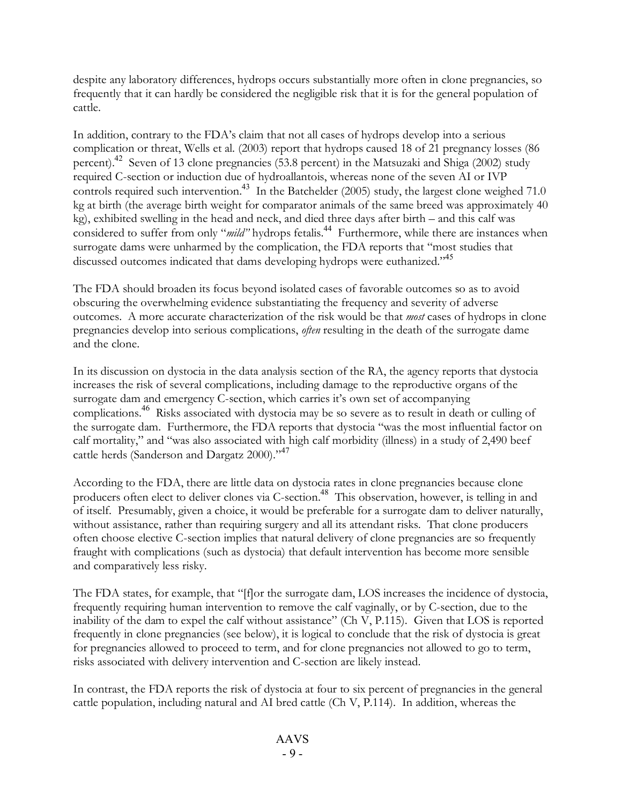despite any laboratory differences, hydrops occurs substantially more often in clone pregnancies, so frequently that it can hardly be considered the negligible risk that it is for the general population of cattle.

In addition, contrary to the FDA's claim that not all cases of hydrops develop into a serious complication or threat, Wells et al. (2003) report that hydrops caused 18 of 21 pregnancy losses (86 percent).<sup>42</sup> Seven of 13 clone pregnancies (53.8 percent) in the Matsuzaki and Shiga (2002) study required C-section or induction due of hydroallantois, whereas none of the seven AI or IVP controls required such intervention.<sup>43</sup> In the Batchelder (2005) study, the largest clone weighed 71.0 kg at birth (the average birth weight for comparator animals of the same breed was approximately 40 kg), exhibited swelling in the head and neck, and died three days after birth – and this calf was considered to suffer from only "*mild"* hydrops fetalis.<sup>44</sup> Furthermore, while there are instances when surrogate dams were unharmed by the complication, the FDA reports that "most studies that discussed outcomes indicated that dams developing hydrops were euthanized."<sup>45</sup>

The FDA should broaden its focus beyond isolated cases of favorable outcomes so as to avoid obscuring the overwhelming evidence substantiating the frequency and severity of adverse outcomes. A more accurate characterization of the risk would be that *most* cases of hydrops in clone pregnancies develop into serious complications, *often* resulting in the death of the surrogate dame and the clone.

In its discussion on dystocia in the data analysis section of the RA, the agency reports that dystocia increases the risk of several complications, including damage to the reproductive organs of the surrogate dam and emergency C-section, which carries it's own set of accompanying complications. <sup>46</sup> Risks associated with dystocia may be so severe as to result in death or culling of the surrogate dam. Furthermore, the FDA reports that dystocia "was the most influential factor on calf mortality," and "was also associated with high calf morbidity (illness) in a study of 2,490 beef cattle herds (Sanderson and Dargatz 2000)."<sup>47</sup>

According to the FDA, there are little data on dystocia rates in clone pregnancies because clone producers often elect to deliver clones via C-section.<sup>48</sup> This observation, however, is telling in and of itself. Presumably, given a choice, it would be preferable for a surrogate dam to deliver naturally, without assistance, rather than requiring surgery and all its attendant risks. That clone producers often choose elective C-section implies that natural delivery of clone pregnancies are so frequently fraught with complications (such as dystocia) that default intervention has become more sensible and comparatively less risky.

The FDA states, for example, that "[f]or the surrogate dam, LOS increases the incidence of dystocia, frequently requiring human intervention to remove the calf vaginally, or by C-section, due to the inability of the dam to expel the calf without assistance" (Ch V, P.115). Given that LOS is reported frequently in clone pregnancies (see below), it is logical to conclude that the risk of dystocia is great for pregnancies allowed to proceed to term, and for clone pregnancies not allowed to go to term, risks associated with delivery intervention and C-section are likely instead.

In contrast, the FDA reports the risk of dystocia at four to six percent of pregnancies in the general cattle population, including natural and AI bred cattle (Ch V, P.114). In addition, whereas the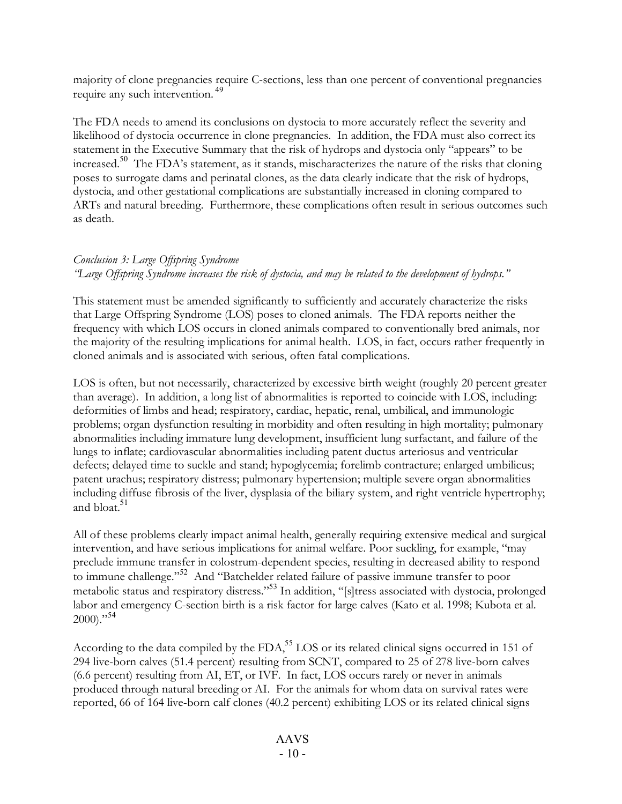majority of clone pregnancies require C-sections, less than one percent of conventional pregnancies require any such intervention. 49

The FDA needs to amend its conclusions on dystocia to more accurately reflect the severity and likelihood of dystocia occurrence in clone pregnancies. In addition, the FDA must also correct its statement in the Executive Summary that the risk of hydrops and dystocia only "appears" to be increased.<sup>50</sup> The FDA's statement, as it stands, mischaracterizes the nature of the risks that cloning poses to surrogate dams and perinatal clones, as the data clearly indicate that the risk of hydrops, dystocia, and other gestational complications are substantially increased in cloning compared to ARTs and natural breeding. Furthermore, these complications often result in serious outcomes such as death.

#### *Conclusion 3: Large Offspring Syndrome*

"Large Offspring Syndrome increases the risk of dystocia, and may be related to the development of hydrops."

This statement must be amended significantly to sufficiently and accurately characterize the risks that Large Offspring Syndrome (LOS) poses to cloned animals. The FDA reports neither the frequency with which LOS occurs in cloned animals compared to conventionally bred animals, nor the majority of the resulting implications for animal health. LOS, in fact, occurs rather frequently in cloned animals and is associated with serious, often fatal complications.

LOS is often, but not necessarily, characterized by excessive birth weight (roughly 20 percent greater than average). In addition, a long list of abnormalities is reported to coincide with LOS, including: deformities of limbs and head; respiratory, cardiac, hepatic, renal, umbilical, and immunologic problems; organ dysfunction resulting in morbidity and often resulting in high mortality; pulmonary abnormalities including immature lung development, insufficient lung surfactant, and failure of the lungs to inflate; cardiovascular abnormalities including patent ductus arteriosus and ventricular defects; delayed time to suckle and stand; hypoglycemia; forelimb contracture; enlarged umbilicus; patent urachus; respiratory distress; pulmonary hypertension; multiple severe organ abnormalities including diffuse fibrosis of the liver, dysplasia of the biliary system, and right ventricle hypertrophy; and bloat. 51

All of these problems clearly impact animal health, generally requiring extensive medical and surgical intervention, and have serious implications for animal welfare. Poor suckling, for example, "may preclude immune transfer in colostrum-dependent species, resulting in decreased ability to respond to immune challenge." <sup>52</sup> And "Batchelder related failure of passive immune transfer to poor metabolic status and respiratory distress."<sup>53</sup> In addition, "[s]tress associated with dystocia, prolonged labor and emergency C-section birth is a risk factor for large calves (Kato et al. 1998; Kubota et al.  $2000$ )."<sup>54</sup>

According to the data compiled by the FDA,<sup>55</sup> LOS or its related clinical signs occurred in 151 of 294 live-born calves (51.4 percent) resulting from SCNT, compared to 25 of 278 live-born calves (6.6 percent) resulting from AI, ET, or IVF. In fact, LOS occurs rarely or never in animals produced through natural breeding or AI. For the animals for whom data on survival rates were reported, 66 of 164 live-born calf clones (40.2 percent) exhibiting LOS or its related clinical signs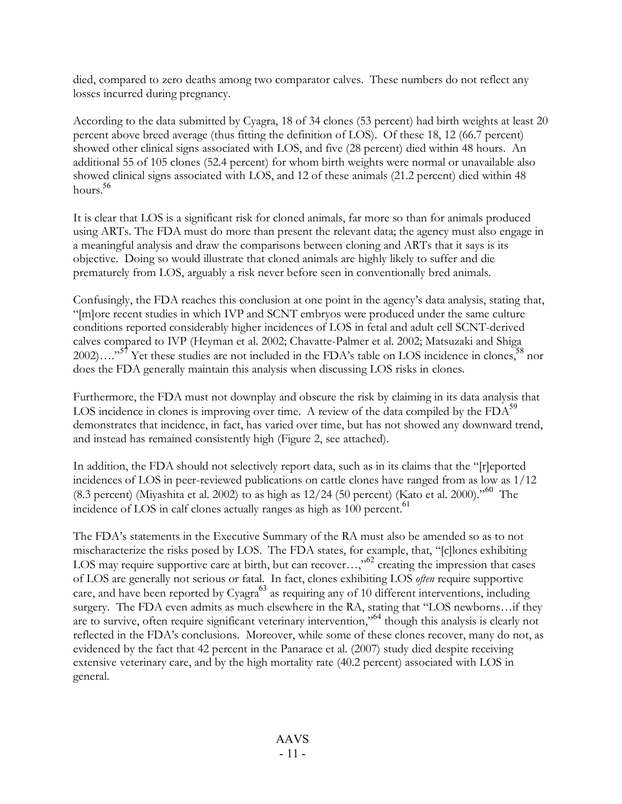died, compared to zero deaths among two comparator calves. These numbers do not reflect any losses incurred during pregnancy.

According to the data submitted by Cyagra, 18 of 34 clones (53 percent) had birth weights at least 20 percent above breed average (thus fitting the definition of LOS). Of these 18, 12 (66.7 percent) showed other clinical signs associated with LOS, and five (28 percent) died within 48 hours. An additional 55 of 105 clones (52.4 percent) for whom birth weights were normal or unavailable also showed clinical signs associated with LOS, and 12 of these animals (21.2 percent) died within 48 hours. 56

It is clear that LOS is a significant risk for cloned animals, far more so than for animals produced using ARTs. The FDA must do more than present the relevant data; the agency must also engage in a meaningful analysis and draw the comparisons between cloning and ARTs that it says is its objective. Doing so would illustrate that cloned animals are highly likely to suffer and die prematurely from LOS, arguably a risk never before seen in conventionally bred animals.

Confusingly, the FDA reaches this conclusion at one point in the agency's data analysis, stating that, "[m]ore recent studies in which IVP and SCNT embryos were produced under the same culture conditions reported considerably higher incidences of LOS in fetal and adult cell SCNT-derived calves compared to IVP (Heyman et al. 2002; Chavatte-Palmer et al. 2002; Matsuzaki and Shiga 2002)...."<sup>57</sup> Yet these studies are not included in the FDA's table on LOS incidence in clones, nor does the FDA generally maintain this analysis when discussing LOS risks in clones.

Furthermore, the FDA must not downplay and obscure the risk by claiming in its data analysis that LOS incidence in clones is improving over time. A review of the data compiled by the  $FDA<sup>59</sup>$ demonstrates that incidence, in fact, has varied over time, but has not showed any downward trend, and instead has remained consistently high (Figure 2, see attached).

In addition, the FDA should not selectively report data, such as in its claims that the "[r]eported incidences of LOS in peer-reviewed publications on cattle clones have ranged from as low as 1/12 (8.3 percent) (Miyashita et al. 2002) to as high as 12/24 (50 percent) (Kato et al. 2000)."<sup>60</sup> The incidence of LOS in calf clones actually ranges as high as 100 percent.<sup>61</sup>

The FDA's statements in the Executive Summary of the RA must also be amended so as to not mischaracterize the risks posed by LOS. The FDA states, for example, that, "[c]lones exhibiting LOS may require supportive care at birth, but can recover...,<sup>50</sup> creating the impression that cases of LOS are generally not serious or fatal. In fact, clones exhibiting LOS *often* require supportive care, and have been reported by Cyagra<sup>63</sup> as requiring any of 10 different interventions, including surgery. The FDA even admits as much elsewhere in the RA, stating that "LOS newborns…if they are to survive, often require significant veterinary intervention,"<sup>64</sup> though this analysis is clearly not reflected in the FDA's conclusions. Moreover, while some of these clones recover, many do not, as evidenced by the fact that 42 percent in the Panarace et al. (2007) study died despite receiving extensive veterinary care, and by the high mortality rate (40.2 percent) associated with LOS in general.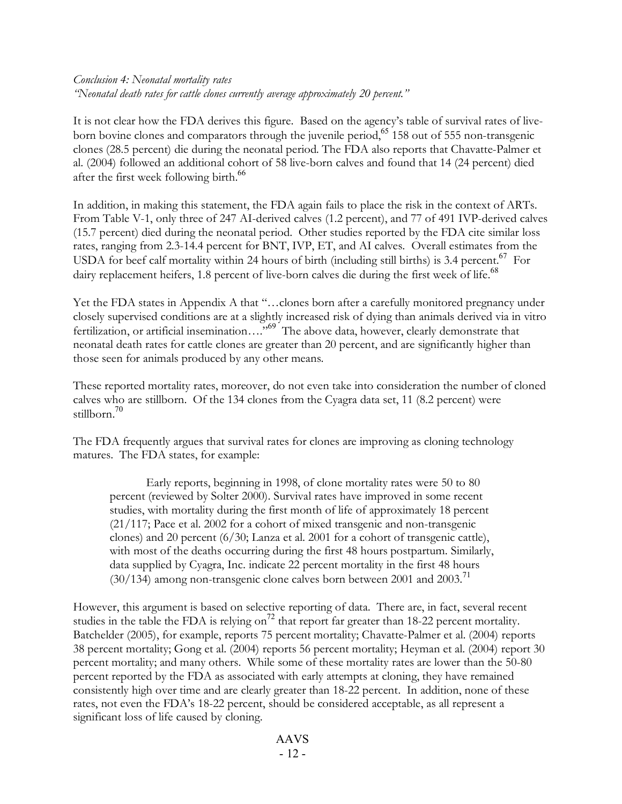## *Conclusion 4: Neonatal mortality rates "Neonatal death rates for cattle clones currently average approximately 20 percent."*

It is not clear how the FDA derives this figure. Based on the agency's table of survival rates of liveborn bovine clones and comparators through the juvenile period,<sup>65</sup> 158 out of 555 non-transgenic clones (28.5 percent) die during the neonatal period. The FDA also reports that Chavatte-Palmer et al. (2004) followed an additional cohort of 58 live-born calves and found that 14 (24 percent) died after the first week following birth.<sup>66</sup>

In addition, in making this statement, the FDA again fails to place the risk in the context of ARTs. From Table V-1, only three of 247 AI-derived calves (1.2 percent), and 77 of 491 IVP-derived calves (15.7 percent) died during the neonatal period. Other studies reported by the FDA cite similar loss rates, ranging from 2.3-14.4 percent for BNT, IVP, ET, and AI calves. Overall estimates from the USDA for beef calf mortality within 24 hours of birth (including still births) is 3.4 percent.<sup>67</sup> For dairy replacement heifers, 1.8 percent of live-born calves die during the first week of life.<sup>68</sup>

Yet the FDA states in Appendix A that "…clones born after a carefully monitored pregnancy under closely supervised conditions are at a slightly increased risk of dying than animals derived via in vitro fertilization, or artificial insemination...."<sup>69</sup> The above data, however, clearly demonstrate that neonatal death rates for cattle clones are greater than 20 percent, and are significantly higher than those seen for animals produced by any other means.

These reported mortality rates, moreover, do not even take into consideration the number of cloned calves who are stillborn. Of the 134 clones from the Cyagra data set, 11 (8.2 percent) were stillborn. 70

The FDA frequently argues that survival rates for clones are improving as cloning technology matures. The FDA states, for example:

Early reports, beginning in 1998, of clone mortality rates were 50 to 80 percent (reviewed by Solter 2000). Survival rates have improved in some recent studies, with mortality during the first month of life of approximately 18 percent (21/117; Pace et al. 2002 for a cohort of mixed transgenic and non-transgenic clones) and 20 percent  $(6/30;$  Lanza et al. 2001 for a cohort of transgenic cattle), with most of the deaths occurring during the first 48 hours postpartum. Similarly, data supplied by Cyagra, Inc. indicate 22 percent mortality in the first 48 hours (30/134) among non-transgenic clone calves born between 2001 and 2003. 71

However, this argument is based on selective reporting of data. There are, in fact, several recent studies in the table the FDA is relying on<sup>72</sup> that report far greater than 18-22 percent mortality. Batchelder (2005), for example, reports 75 percent mortality; Chavatte-Palmer et al. (2004) reports 38 percent mortality; Gong et al. (2004) reports 56 percent mortality; Heyman et al. (2004) report 30 percent mortality; and many others. While some of these mortality rates are lower than the 50-80 percent reported by the FDA as associated with early attempts at cloning, they have remained consistently high over time and are clearly greater than 18-22 percent. In addition, none of these rates, not even the FDA's 18-22 percent, should be considered acceptable, as all represent a significant loss of life caused by cloning.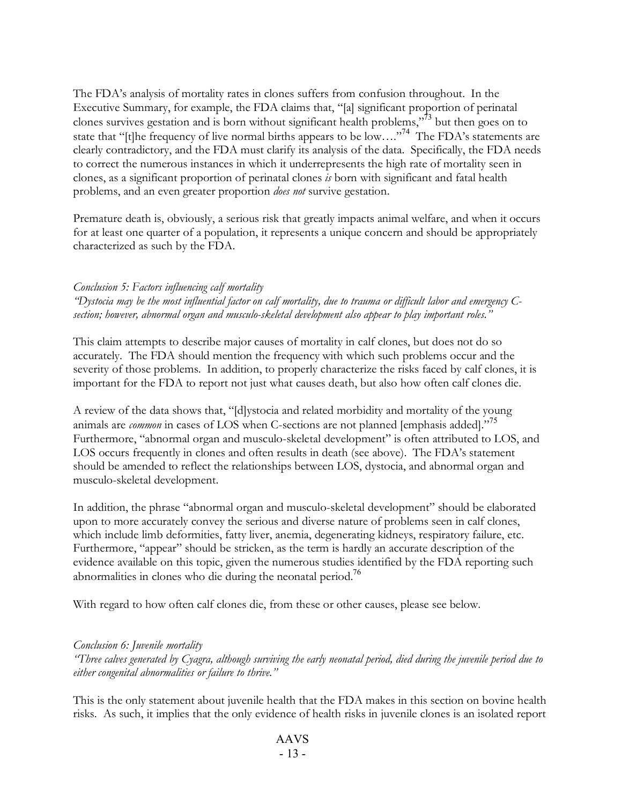The FDA's analysis of mortality rates in clones suffers from confusion throughout. In the Executive Summary, for example, the FDA claims that, "[a] significant proportion of perinatal clones survives gestation and is born without significant health problems," <sup>73</sup> but then goes on to state that "[t]he frequency of live normal births appears to be low...."<sup>74</sup> The FDA's statements are clearly contradictory, and the FDA must clarify its analysis of the data. Specifically, the FDA needs to correct the numerous instances in which it underrepresents the high rate of mortality seen in clones, as a significant proportion of perinatal clones *is* born with significant and fatal health problems, and an even greater proportion *does not* survive gestation.

Premature death is, obviously, a serious risk that greatly impacts animal welfare, and when it occurs for at least one quarter of a population, it represents a unique concern and should be appropriately characterized as such by the FDA.

#### *Conclusion 5: Factors influencing calf mortality*

"Dystocia may be the most influential factor on calf mortality, due to trauma or difficult labor and emergency C*section; however, abnormal organ and musculo-skeletal development also appear to play important roles."*

This claim attempts to describe major causes of mortality in calf clones, but does not do so accurately. The FDA should mention the frequency with which such problems occur and the severity of those problems. In addition, to properly characterize the risks faced by calf clones, it is important for the FDA to report not just what causes death, but also how often calf clones die.

A review of the data shows that, "[d]ystocia and related morbidity and mortality of the young animals are *common* in cases of LOS when C-sections are not planned [emphasis added]."<sup>75</sup> Furthermore, "abnormal organ and musculo-skeletal development" is often attributed to LOS, and LOS occurs frequently in clones and often results in death (see above). The FDA's statement should be amended to reflect the relationships between LOS, dystocia, and abnormal organ and musculo-skeletal development.

In addition, the phrase "abnormal organ and musculo-skeletal development" should be elaborated upon to more accurately convey the serious and diverse nature of problems seen in calf clones, which include limb deformities, fatty liver, anemia, degenerating kidneys, respiratory failure, etc. Furthermore, "appear" should be stricken, as the term is hardly an accurate description of the evidence available on this topic, given the numerous studies identified by the FDA reporting such abnormalities in clones who die during the neonatal period.<sup>76</sup>

With regard to how often calf clones die, from these or other causes, please see below.

#### *Conclusion 6: Juvenile mortality*

"Three calves generated by Cyagra, although surviving the early neonatal period, died during the juvenile period due to *either congenital abnormalities or failure to thrive."*

This is the only statement about juvenile health that the FDA makes in this section on bovine health risks. As such, it implies that the only evidence of health risks in juvenile clones is an isolated report

## AAVS - 13 -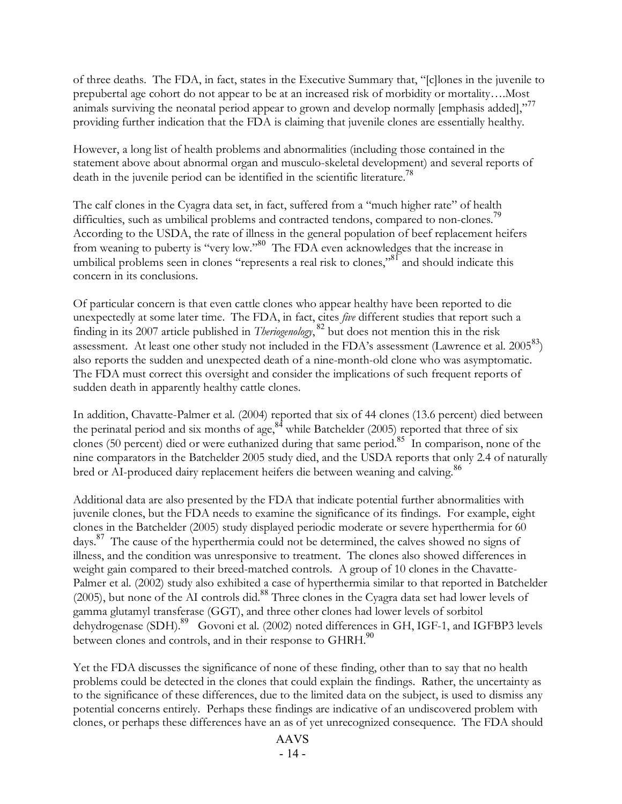of three deaths. The FDA, in fact, states in the Executive Summary that, "[c]lones in the juvenile to prepubertal age cohort do not appear to be at an increased risk of morbidity or mortality….Most animals surviving the neonatal period appear to grown and develop normally [emphasis added],"<sup>77</sup> providing further indication that the FDA is claiming that juvenile clones are essentially healthy.

However, a long list of health problems and abnormalities (including those contained in the statement above about abnormal organ and musculo-skeletal development) and several reports of death in the juvenile period can be identified in the scientific literature.<sup>78</sup>

The calf clones in the Cyagra data set, in fact, suffered from a "much higher rate" of health difficulties, such as umbilical problems and contracted tendons, compared to non-clones.<sup>79</sup> According to the USDA, the rate of illness in the general population of beef replacement heifers from weaning to puberty is "very low."<sup>80</sup> The FDA even acknowledges that the increase in umbilical problems seen in clones "represents a real risk to clones,"<sup>81</sup> and should indicate this concern in its conclusions.

Of particular concern is that even cattle clones who appear healthy have been reported to die unexpectedly at some later time. The FDA, in fact, cites *five* different studies that report such a finding in its 2007 article published in *Theriogenology*, <sup>82</sup> but does not mention this in the risk assessment. At least one other study not included in the FDA's assessment (Lawrence et al. 2005<sup>83</sup>) also reports the sudden and unexpected death of a nine-month-old clone who was asymptomatic. The FDA must correct this oversight and consider the implications of such frequent reports of sudden death in apparently healthy cattle clones.

In addition, Chavatte-Palmer et al. (2004) reported that six of 44 clones (13.6 percent) died between the perinatal period and six months of age,<sup>84</sup> while Batchelder (2005) reported that three of six clones (50 percent) died or were euthanized during that same period.<sup>85</sup> In comparison, none of the nine comparators in the Batchelder 2005 study died, and the USDA reports that only 2.4 of naturally bred or AI-produced dairy replacement heifers die between weaning and calving. 86

Additional data are also presented by the FDA that indicate potential further abnormalities with juvenile clones, but the FDA needs to examine the significance of its findings. For example, eight clones in the Batchelder (2005) study displayed periodic moderate or severe hyperthermia for 60 days.<sup>87</sup> The cause of the hyperthermia could not be determined, the calves showed no signs of illness, and the condition was unresponsive to treatment. The clones also showed differences in weight gain compared to their breed-matched controls. A group of 10 clones in the Chavatte-Palmer et al. (2002) study also exhibited a case of hyperthermia similar to that reported in Batchelder  $(2005)$ , but none of the AI controls did.<sup>88</sup> Three clones in the Cyagra data set had lower levels of gamma glutamyl transferase (GGT), and three other clones had lower levels of sorbitol dehydrogenase (SDH). <sup>89</sup> Govoni et al. (2002) noted differences in GH, IGF-1, and IGFBP3 levels between clones and controls, and in their response to GHRH.<sup>90</sup>

Yet the FDA discusses the significance of none of these finding, other than to say that no health problems could be detected in the clones that could explain the findings. Rather, the uncertainty as to the significance of these differences, due to the limited data on the subject, is used to dismiss any potential concerns entirely. Perhaps these findings are indicative of an undiscovered problem with clones, or perhaps these differences have an as of yet unrecognized consequence. The FDA should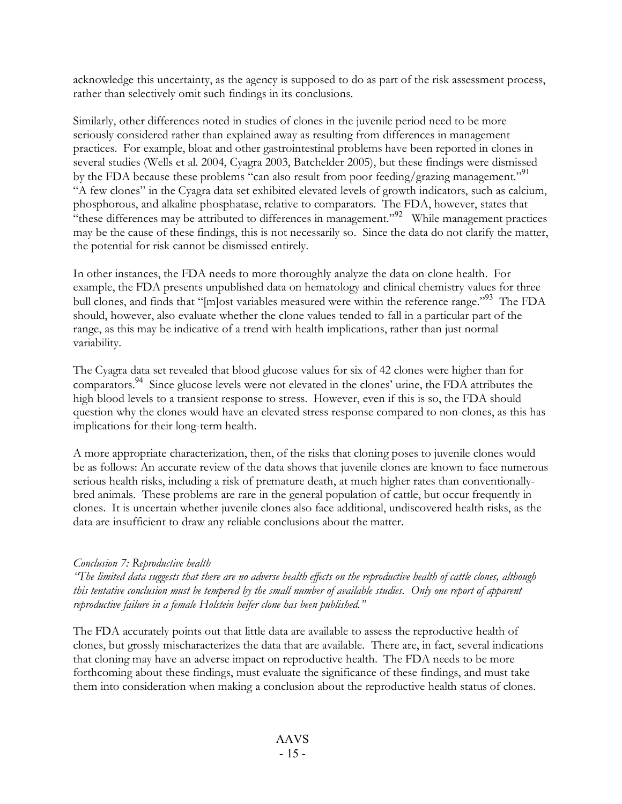acknowledge this uncertainty, as the agency is supposed to do as part of the risk assessment process, rather than selectively omit such findings in its conclusions.

Similarly, other differences noted in studies of clones in the juvenile period need to be more seriously considered rather than explained away as resulting from differences in management practices. For example, bloat and other gastrointestinal problems have been reported in clones in several studies (Wells et al. 2004, Cyagra 2003, Batchelder 2005), but these findings were dismissed by the FDA because these problems "can also result from poor feeding/grazing management."<sup>91</sup> "A few clones" in the Cyagra data set exhibited elevated levels of growth indicators, such as calcium, phosphorous, and alkaline phosphatase, relative to comparators. The FDA, however, states that "these differences may be attributed to differences in management." <sup>92</sup> While management practices may be the cause of these findings, this is not necessarily so. Since the data do not clarify the matter, the potential for risk cannot be dismissed entirely.

In other instances, the FDA needs to more thoroughly analyze the data on clone health. For example, the FDA presents unpublished data on hematology and clinical chemistry values for three bull clones, and finds that "[m]ost variables measured were within the reference range."<sup>93</sup> The FDA should, however, also evaluate whether the clone values tended to fall in a particular part of the range, as this may be indicative of a trend with health implications, rather than just normal variability.

The Cyagra data set revealed that blood glucose values for six of 42 clones were higher than for comparators.<sup>94</sup> Since glucose levels were not elevated in the clones' urine, the FDA attributes the high blood levels to a transient response to stress. However, even if this is so, the FDA should question why the clones would have an elevated stress response compared to non-clones, as this has implications for their long-term health.

A more appropriate characterization, then, of the risks that cloning poses to juvenile clones would be as follows: An accurate review of the data shows that juvenile clones are known to face numerous serious health risks, including a risk of premature death, at much higher rates than conventionallybred animals. These problems are rare in the general population of cattle, but occur frequently in clones. It is uncertain whether juvenile clones also face additional, undiscovered health risks, as the data are insufficient to draw any reliable conclusions about the matter.

#### *Conclusion 7: Reproductive health*

"The limited data suggests that there are no adverse health effects on the reproductive health of cattle clones, although this tentative conclusion must be tempered by the small number of available studies. Only one report of apparent *reproductive failure in a female Holstein heifer clone has been published."*

The FDA accurately points out that little data are available to assess the reproductive health of clones, but grossly mischaracterizes the data that are available. There are, in fact, several indications that cloning may have an adverse impact on reproductive health. The FDA needs to be more forthcoming about these findings, must evaluate the significance of these findings, and must take them into consideration when making a conclusion about the reproductive health status of clones.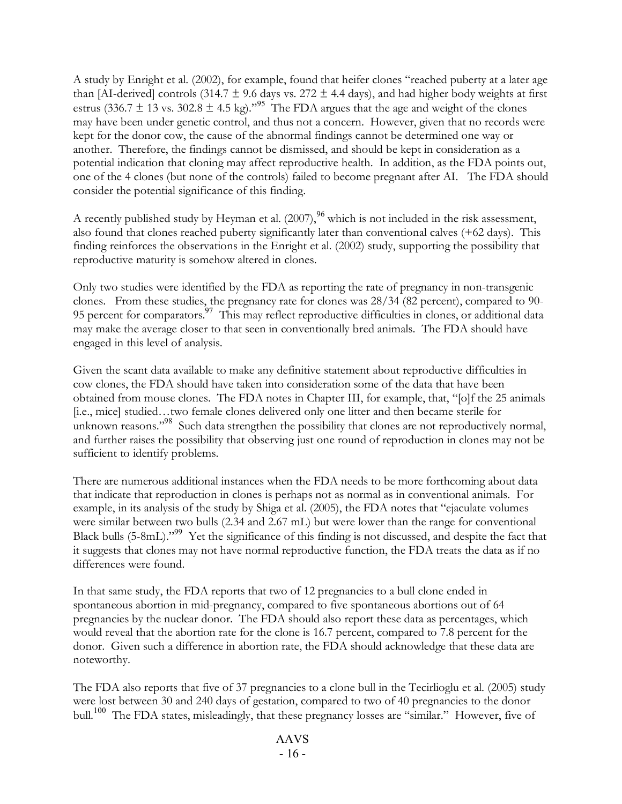A study by Enright et al. (2002), for example, found that heifer clones "reached puberty at a later age than [AI-derived] controls (314.7  $\pm$  9.6 days vs. 272  $\pm$  4.4 days), and had higher body weights at first estrus (336.7  $\pm$  13 vs. 302.8  $\pm$  4.5 kg).<sup>"95</sup> The FDA argues that the age and weight of the clones may have been under genetic control, and thus not a concern. However, given that no records were kept for the donor cow, the cause of the abnormal findings cannot be determined one way or another. Therefore, the findings cannot be dismissed, and should be kept in consideration as a potential indication that cloning may affect reproductive health. In addition, as the FDA points out, one of the 4 clones (but none of the controls) failed to become pregnant after AI. The FDA should consider the potential significance of this finding.

A recently published study by Heyman et al.  $(2007)$ ,  $^{96}$  which is not included in the risk assessment, also found that clones reached puberty significantly later than conventional calves (+62 days). This finding reinforces the observations in the Enright et al. (2002) study, supporting the possibility that reproductive maturity is somehow altered in clones.

Only two studies were identified by the FDA as reporting the rate of pregnancy in non-transgenic clones. From these studies, the pregnancy rate for clones was 28/34 (82 percent), compared to 90- 95 percent for comparators.<sup>97</sup> This may reflect reproductive difficulties in clones, or additional data may make the average closer to that seen in conventionally bred animals. The FDA should have engaged in this level of analysis.

Given the scant data available to make any definitive statement about reproductive difficulties in cow clones, the FDA should have taken into consideration some of the data that have been obtained from mouse clones. The FDA notes in Chapter III, for example, that, "[o]f the 25 animals [i.e., mice] studied…two female clones delivered only one litter and then became sterile for unknown reasons." <sup>98</sup> Such data strengthen the possibility that clones are not reproductively normal, and further raises the possibility that observing just one round of reproduction in clones may not be sufficient to identify problems.

There are numerous additional instances when the FDA needs to be more forthcoming about data that indicate that reproduction in clones is perhaps not as normal as in conventional animals. For example, in its analysis of the study by Shiga et al. (2005), the FDA notes that "ejaculate volumes were similar between two bulls (2.34 and 2.67 mL) but were lower than the range for conventional Black bulls (5-8mL)."<sup>99</sup> Yet the significance of this finding is not discussed, and despite the fact that it suggests that clones may not have normal reproductive function, the FDA treats the data as if no differences were found.

In that same study, the FDA reports that two of 12 pregnancies to a bull clone ended in spontaneous abortion in mid-pregnancy, compared to five spontaneous abortions out of 64 pregnancies by the nuclear donor. The FDA should also report these data as percentages, which would reveal that the abortion rate for the clone is 16.7 percent, compared to 7.8 percent for the donor. Given such a difference in abortion rate, the FDA should acknowledge that these data are noteworthy.

The FDA also reports that five of 37 pregnancies to a clone bull in the Tecirlioglu et al. (2005) study were lost between 30 and 240 days of gestation, compared to two of 40 pregnancies to the donor bull.<sup>100</sup> The FDA states, misleadingly, that these pregnancy losses are "similar." However, five of

## AAVS - 16 -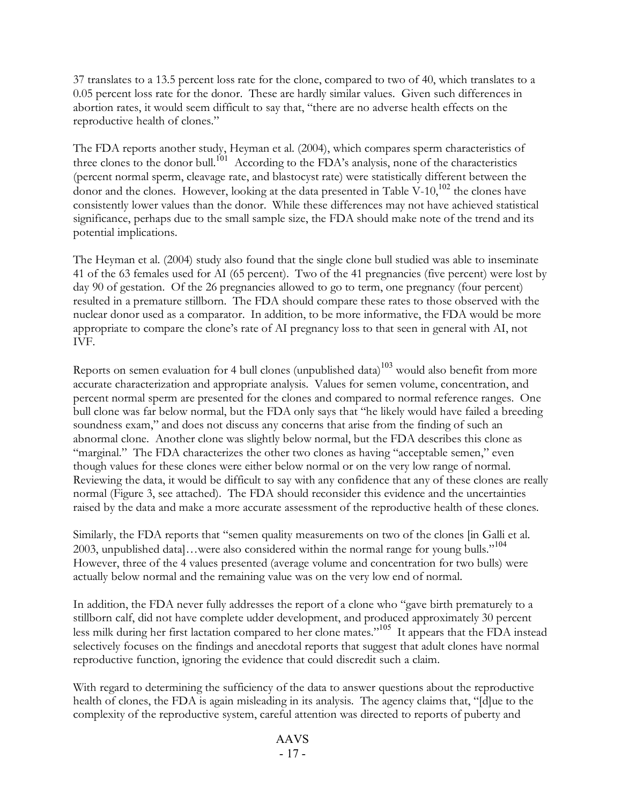37 translates to a 13.5 percent loss rate for the clone, compared to two of 40, which translates to a 0.05 percent loss rate for the donor. These are hardly similar values. Given such differences in abortion rates, it would seem difficult to say that, "there are no adverse health effects on the reproductive health of clones."

The FDA reports another study, Heyman et al. (2004), which compares sperm characteristics of three clones to the donor bull.<sup>101</sup> According to the FDA's analysis, none of the characteristics (percent normal sperm, cleavage rate, and blastocyst rate) were statistically different between the donor and the clones. However, looking at the data presented in Table V-10, <sup>102</sup> the clones have consistently lower values than the donor. While these differences may not have achieved statistical significance, perhaps due to the small sample size, the FDA should make note of the trend and its potential implications.

The Heyman et al. (2004) study also found that the single clone bull studied was able to inseminate 41 of the 63 females used for AI (65 percent). Two of the 41 pregnancies (five percent) were lost by day 90 of gestation. Of the 26 pregnancies allowed to go to term, one pregnancy (four percent) resulted in a premature stillborn. The FDA should compare these rates to those observed with the nuclear donor used as a comparator. In addition, to be more informative, the FDA would be more appropriate to compare the clone's rate of AI pregnancy loss to that seen in general with AI, not IVF.

Reports on semen evaluation for 4 bull clones (unpublished data) $^{103}$  would also benefit from more accurate characterization and appropriate analysis. Values for semen volume, concentration, and percent normal sperm are presented for the clones and compared to normal reference ranges. One bull clone was far below normal, but the FDA only says that "he likely would have failed a breeding soundness exam," and does not discuss any concerns that arise from the finding of such an abnormal clone. Another clone was slightly below normal, but the FDA describes this clone as "marginal." The FDA characterizes the other two clones as having "acceptable semen," even though values for these clones were either below normal or on the very low range of normal. Reviewing the data, it would be difficult to say with any confidence that any of these clones are really normal (Figure 3, see attached). The FDA should reconsider this evidence and the uncertainties raised by the data and make a more accurate assessment of the reproductive health of these clones.

Similarly, the FDA reports that "semen quality measurements on two of the clones [in Galli et al. 2003, unpublished data]…were also considered within the normal range for young bulls." 104 However, three of the 4 values presented (average volume and concentration for two bulls) were actually below normal and the remaining value was on the very low end of normal.

In addition, the FDA never fully addresses the report of a clone who "gave birth prematurely to a stillborn calf, did not have complete udder development, and produced approximately 30 percent less milk during her first lactation compared to her clone mates." <sup>105</sup> It appears that the FDA instead selectively focuses on the findings and anecdotal reports that suggest that adult clones have normal reproductive function, ignoring the evidence that could discredit such a claim.

With regard to determining the sufficiency of the data to answer questions about the reproductive health of clones, the FDA is again misleading in its analysis. The agency claims that, "[d]ue to the complexity of the reproductive system, careful attention was directed to reports of puberty and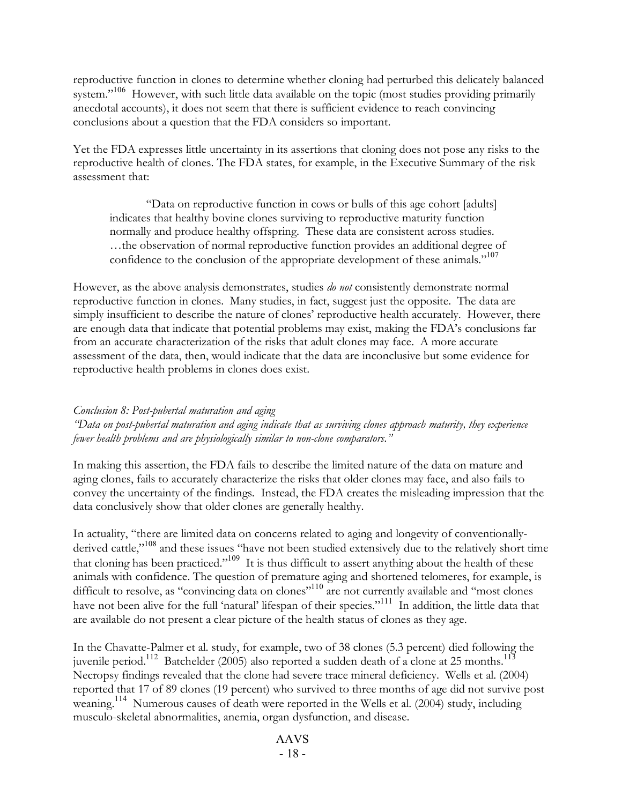reproductive function in clones to determine whether cloning had perturbed this delicately balanced system."<sup>106</sup> However, with such little data available on the topic (most studies providing primarily anecdotal accounts), it does not seem that there is sufficient evidence to reach convincing conclusions about a question that the FDA considers so important.

Yet the FDA expresses little uncertainty in its assertions that cloning does not pose any risks to the reproductive health of clones. The FDA states, for example, in the Executive Summary of the risk assessment that:

"Data on reproductive function in cows or bulls of this age cohort [adults] indicates that healthy bovine clones surviving to reproductive maturity function normally and produce healthy offspring. These data are consistent across studies. …the observation of normal reproductive function provides an additional degree of confidence to the conclusion of the appropriate development of these animals."<sup>107</sup>

However, as the above analysis demonstrates, studies *do not* consistently demonstrate normal reproductive function in clones. Many studies, in fact, suggest just the opposite. The data are simply insufficient to describe the nature of clones' reproductive health accurately. However, there are enough data that indicate that potential problems may exist, making the FDA's conclusions far from an accurate characterization of the risks that adult clones may face. A more accurate assessment of the data, then, would indicate that the data are inconclusive but some evidence for reproductive health problems in clones does exist.

#### *Conclusion 8: Post-pubertal maturation and aging*

*"Data on post-pubertal maturation and aging indicate that as surviving clones approach maturity, they experience fewer health problems and are physiologically similar to non-clone comparators."*

In making this assertion, the FDA fails to describe the limited nature of the data on mature and aging clones, fails to accurately characterize the risks that older clones may face, and also fails to convey the uncertainty of the findings. Instead, the FDA creates the misleading impression that the data conclusively show that older clones are generally healthy.

In actuality, "there are limited data on concerns related to aging and longevity of conventionallyderived cattle,"<sup>108</sup> and these issues "have not been studied extensively due to the relatively short time that cloning has been practiced."<sup>109</sup> It is thus difficult to assert anything about the health of these animals with confidence. The question of premature aging and shortened telomeres, for example, is difficult to resolve, as "convincing data on clones"<sup>110</sup> are not currently available and "most clones have not been alive for the full 'natural' lifespan of their species."<sup>111</sup> In addition, the little data that are available do not present a clear picture of the health status of clones as they age.

In the Chavatte-Palmer et al. study, for example, two of 38 clones (5.3 percent) died following the juvenile period.<sup>112</sup> Batchelder (2005) also reported a sudden death of a clone at 25 months.<sup>113</sup> Necropsy findings revealed that the clone had severe trace mineral deficiency. Wells et al. (2004) reported that 17 of 89 clones (19 percent) who survived to three months of age did not survive post weaning. <sup>114</sup> Numerous causes of death were reported in the Wells et al. (2004) study, including musculo-skeletal abnormalities, anemia, organ dysfunction, and disease.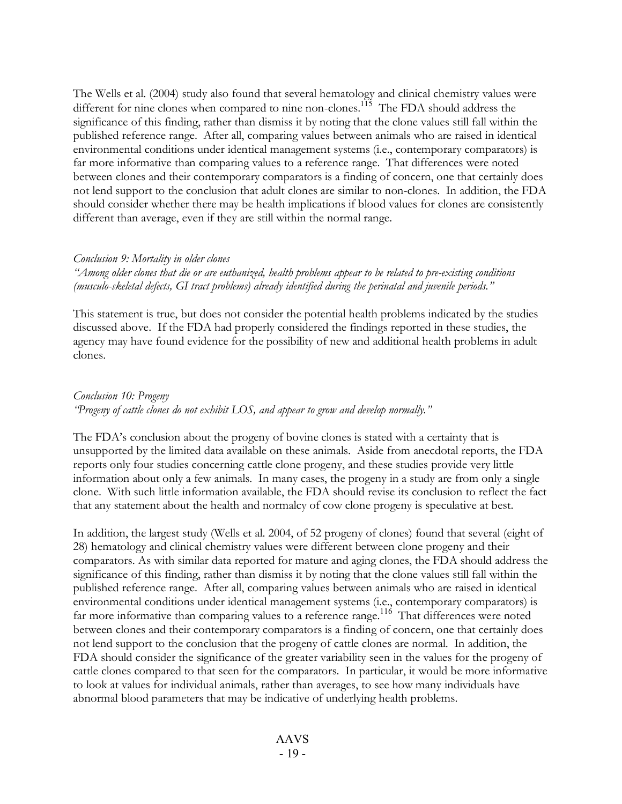The Wells et al. (2004) study also found that several hematology and clinical chemistry values were different for nine clones when compared to nine non-clones.<sup>115</sup> The FDA should address the significance of this finding, rather than dismiss it by noting that the clone values still fall within the published reference range. After all, comparing values between animals who are raised in identical environmental conditions under identical management systems (i.e., contemporary comparators) is far more informative than comparing values to a reference range. That differences were noted between clones and their contemporary comparators is a finding of concern, one that certainly does not lend support to the conclusion that adult clones are similar to non-clones. In addition, the FDA should consider whether there may be health implications if blood values for clones are consistently different than average, even if they are still within the normal range.

#### *Conclusion 9: Mortality in older clones*

"Among older clones that die or are euthanized, health problems appear to be related to pre-existing conditions *(musculo-skeletal defects, GI tract problems) already identified during the perinatal and juvenile periods."*

This statement is true, but does not consider the potential health problems indicated by the studies discussed above. If the FDA had properly considered the findings reported in these studies, the agency may have found evidence for the possibility of new and additional health problems in adult clones.

#### *Conclusion 10: Progeny "Progeny of cattle clones do not exhibit LOS, and appear to grow and develop normally."*

The FDA's conclusion about the progeny of bovine clones is stated with a certainty that is unsupported by the limited data available on these animals. Aside from anecdotal reports, the FDA reports only four studies concerning cattle clone progeny, and these studies provide very little information about only a few animals. In many cases, the progeny in a study are from only a single clone. With such little information available, the FDA should revise its conclusion to reflect the fact that any statement about the health and normalcy of cow clone progeny is speculative at best.

In addition, the largest study (Wells et al. 2004, of 52 progeny of clones) found that several (eight of 28) hematology and clinical chemistry values were different between clone progeny and their comparators. As with similar data reported for mature and aging clones, the FDA should address the significance of this finding, rather than dismiss it by noting that the clone values still fall within the published reference range. After all, comparing values between animals who are raised in identical environmental conditions under identical management systems (i.e., contemporary comparators) is far more informative than comparing values to a reference range.<sup>116</sup> That differences were noted between clones and their contemporary comparators is a finding of concern, one that certainly does not lend support to the conclusion that the progeny of cattle clones are normal. In addition, the FDA should consider the significance of the greater variability seen in the values for the progeny of cattle clones compared to that seen for the comparators. In particular, it would be more informative to look at values for individual animals, rather than averages, to see how many individuals have abnormal blood parameters that may be indicative of underlying health problems.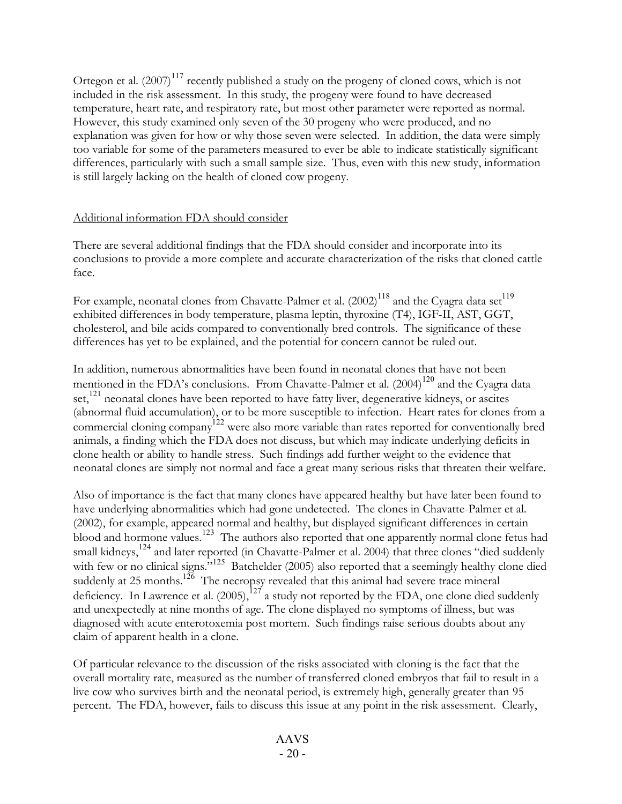Ortegon et al.  $(2007)^{117}$  recently published a study on the progeny of cloned cows, which is not included in the risk assessment. In this study, the progeny were found to have decreased temperature, heart rate, and respiratory rate, but most other parameter were reported as normal. However, this study examined only seven of the 30 progeny who were produced, and no explanation was given for how or why those seven were selected. In addition, the data were simply too variable for some of the parameters measured to ever be able to indicate statistically significant differences, particularly with such a small sample size. Thus, even with this new study, information is still largely lacking on the health of cloned cow progeny.

## Additional information FDA should consider

There are several additional findings that the FDA should consider and incorporate into its conclusions to provide a more complete and accurate characterization of the risks that cloned cattle face.

For example, neonatal clones from Chavatte-Palmer et al.  $(2002)^{118}$  and the Cyagra data set $^{119}$ exhibited differences in body temperature, plasma leptin, thyroxine (T4), IGF-II, AST, GGT, cholesterol, and bile acids compared to conventionally bred controls. The significance of these differences has yet to be explained, and the potential for concern cannot be ruled out.

In addition, numerous abnormalities have been found in neonatal clones that have not been mentioned in the FDA's conclusions. From Chavatte-Palmer et al. (2004)<sup>120</sup> and the Cyagra data set,<sup>121</sup> neonatal clones have been reported to have fatty liver, degenerative kidneys, or ascites (abnormal fluid accumulation), or to be more susceptible to infection. Heart rates for clones from a commercial cloning company<sup>122</sup> were also more variable than rates reported for conventionally bred animals, a finding which the FDA does not discuss, but which may indicate underlying deficits in clone health or ability to handle stress. Such findings add further weight to the evidence that neonatal clones are simply not normal and face a great many serious risks that threaten their welfare.

Also of importance is the fact that many clones have appeared healthy but have later been found to have underlying abnormalities which had gone undetected. The clones in Chavatte-Palmer et al. (2002), for example, appeared normal and healthy, but displayed significant differences in certain blood and hormone values.<sup>123</sup> The authors also reported that one apparently normal clone fetus had small kidneys,<sup>124</sup> and later reported (in Chavatte-Palmer et al. 2004) that three clones "died suddenly with few or no clinical signs."<sup>125</sup> Batchelder (2005) also reported that a seemingly healthy clone died suddenly at 25 months.<sup>126</sup> The necropsy revealed that this animal had severe trace mineral deficiency. In Lawrence et al.  $(2005)$ ,  $^{127}$  a study not reported by the FDA, one clone died suddenly and unexpectedly at nine months of age. The clone displayed no symptoms of illness, but was diagnosed with acute enterotoxemia post mortem. Such findings raise serious doubts about any claim of apparent health in a clone.

Of particular relevance to the discussion of the risks associated with cloning is the fact that the overall mortality rate, measured as the number of transferred cloned embryos that fail to result in a live cow who survives birth and the neonatal period, is extremely high, generally greater than 95 percent. The FDA, however, fails to discuss this issue at any point in the risk assessment. Clearly,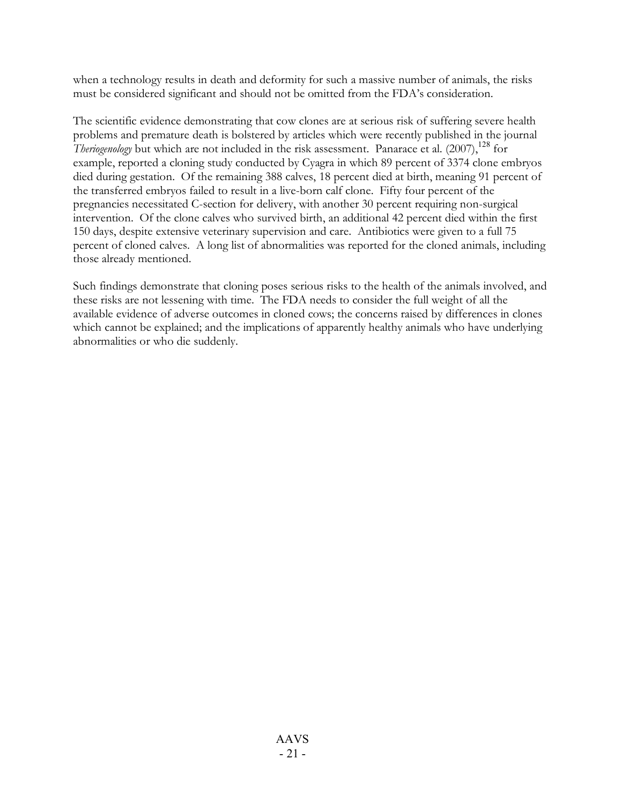when a technology results in death and deformity for such a massive number of animals, the risks must be considered significant and should not be omitted from the FDA's consideration.

The scientific evidence demonstrating that cow clones are at serious risk of suffering severe health problems and premature death is bolstered by articles which were recently published in the journal *Theriogenology* but which are not included in the risk assessment. Panarace et al. (2007),<sup>128</sup> for example, reported a cloning study conducted by Cyagra in which 89 percent of 3374 clone embryos died during gestation. Of the remaining 388 calves, 18 percent died at birth, meaning 91 percent of the transferred embryos failed to result in a live-born calf clone. Fifty four percent of the pregnancies necessitated C-section for delivery, with another 30 percent requiring non-surgical intervention. Of the clone calves who survived birth, an additional 42 percent died within the first 150 days, despite extensive veterinary supervision and care. Antibiotics were given to a full 75 percent of cloned calves. A long list of abnormalities was reported for the cloned animals, including those already mentioned.

Such findings demonstrate that cloning poses serious risks to the health of the animals involved, and these risks are not lessening with time. The FDA needs to consider the full weight of all the available evidence of adverse outcomes in cloned cows; the concerns raised by differences in clones which cannot be explained; and the implications of apparently healthy animals who have underlying abnormalities or who die suddenly.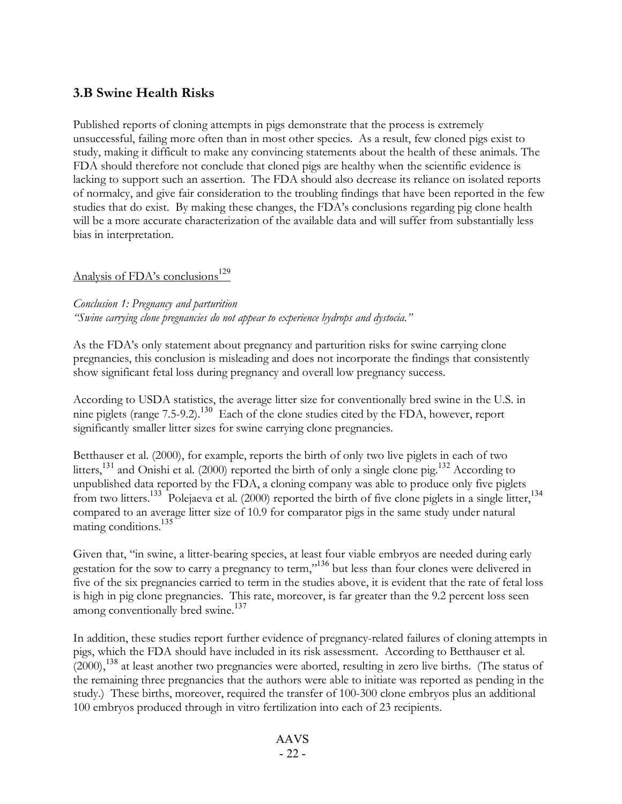# **3.B Swine Health Risks**

Published reports of cloning attempts in pigs demonstrate that the process is extremely unsuccessful, failing more often than in most other species. As a result, few cloned pigs exist to study, making it difficult to make any convincing statements about the health of these animals. The FDA should therefore not conclude that cloned pigs are healthy when the scientific evidence is lacking to support such an assertion. The FDA should also decrease its reliance on isolated reports of normalcy, and give fair consideration to the troubling findings that have been reported in the few studies that do exist. By making these changes, the FDA's conclusions regarding pig clone health will be a more accurate characterization of the available data and will suffer from substantially less bias in interpretation.

# Analysis of FDA's conclusions 129

*Conclusion 1: Pregnancy and parturition "Swine carrying clone pregnancies do not appear to experience hydrops and dystocia."*

As the FDA's only statement about pregnancy and parturition risks for swine carrying clone pregnancies, this conclusion is misleading and does not incorporate the findings that consistently show significant fetal loss during pregnancy and overall low pregnancy success.

According to USDA statistics, the average litter size for conventionally bred swine in the U.S. in nine piglets (range 7.5-9.2).<sup>130</sup> Each of the clone studies cited by the FDA, however, report significantly smaller litter sizes for swine carrying clone pregnancies.

Betthauser et al. (2000), for example, reports the birth of only two live piglets in each of two litters,<sup>131</sup> and Onishi et al. (2000) reported the birth of only a single clone pig.<sup>132</sup> According to unpublished data reported by the FDA, a cloning company was able to produce only five piglets from two litters.<sup>133</sup> Polejaeva et al. (2000) reported the birth of five clone piglets in a single litter,<sup>134</sup> compared to an average litter size of 10.9 for comparator pigs in the same study under natural mating conditions. 135

Given that, "in swine, a litter-bearing species, at least four viable embryos are needed during early gestation for the sow to carry a pregnancy to term,"<sup>136</sup> but less than four clones were delivered in five of the six pregnancies carried to term in the studies above, it is evident that the rate of fetal loss is high in pig clone pregnancies. This rate, moreover, is far greater than the 9.2 percent loss seen among conventionally bred swine.<sup>137</sup>

In addition, these studies report further evidence of pregnancy-related failures of cloning attempts in pigs, which the FDA should have included in its risk assessment. According to Betthauser et al.  $(2000)$ ,  $^{138}$  at least another two pregnancies were aborted, resulting in zero live births. (The status of the remaining three pregnancies that the authors were able to initiate was reported as pending in the study.) These births, moreover, required the transfer of 100-300 clone embryos plus an additional 100 embryos produced through in vitro fertilization into each of 23 recipients.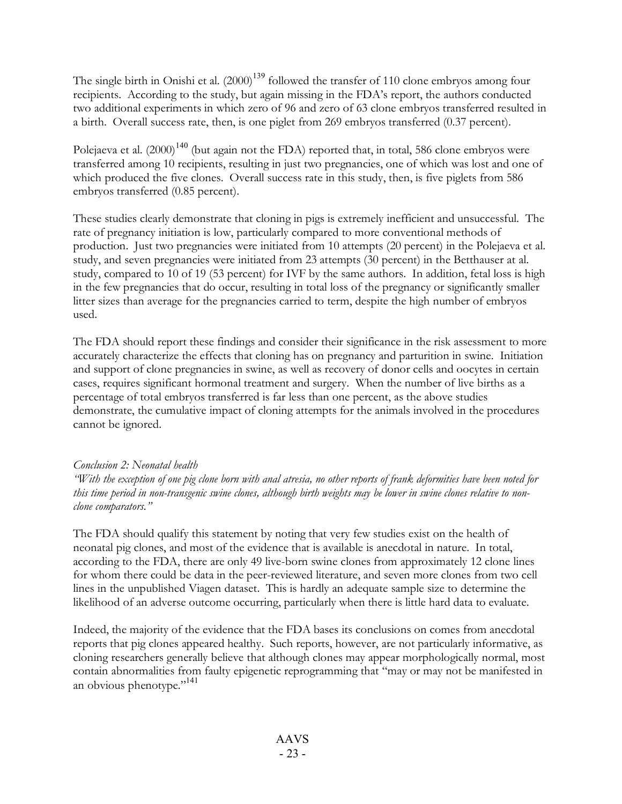The single birth in Onishi et al. (2000)<sup>139</sup> followed the transfer of 110 clone embryos among four recipients. According to the study, but again missing in the FDA's report, the authors conducted two additional experiments in which zero of 96 and zero of 63 clone embryos transferred resulted in a birth. Overall success rate, then, is one piglet from 269 embryos transferred (0.37 percent).

Polejaeva et al. (2000) $^{140}$  (but again not the FDA) reported that, in total, 586 clone embryos were transferred among 10 recipients, resulting in just two pregnancies, one of which was lost and one of which produced the five clones. Overall success rate in this study, then, is five piglets from 586 embryos transferred (0.85 percent).

These studies clearly demonstrate that cloning in pigs is extremely inefficient and unsuccessful. The rate of pregnancy initiation is low, particularly compared to more conventional methods of production. Just two pregnancies were initiated from 10 attempts (20 percent) in the Polejaeva et al. study, and seven pregnancies were initiated from 23 attempts (30 percent) in the Betthauser at al. study, compared to 10 of 19 (53 percent) for IVF by the same authors. In addition, fetal loss is high in the few pregnancies that do occur, resulting in total loss of the pregnancy or significantly smaller litter sizes than average for the pregnancies carried to term, despite the high number of embryos used.

The FDA should report these findings and consider their significance in the risk assessment to more accurately characterize the effects that cloning has on pregnancy and parturition in swine. Initiation and support of clone pregnancies in swine, as well as recovery of donor cells and oocytes in certain cases, requires significant hormonal treatment and surgery. When the number of live births as a percentage of total embryos transferred is far less than one percent, as the above studies demonstrate, the cumulative impact of cloning attempts for the animals involved in the procedures cannot be ignored.

#### *Conclusion 2: Neonatal health*

"With the exception of one pig clone born with anal atresia, no other reports of frank deformities have been noted for this time period in non-transgenic swine clones, although birth weights may be lower in swine clones relative to non*clone comparators."*

The FDA should qualify this statement by noting that very few studies exist on the health of neonatal pig clones, and most of the evidence that is available is anecdotal in nature. In total, according to the FDA, there are only 49 live-born swine clones from approximately 12 clone lines for whom there could be data in the peer-reviewed literature, and seven more clones from two cell lines in the unpublished Viagen dataset. This is hardly an adequate sample size to determine the likelihood of an adverse outcome occurring, particularly when there is little hard data to evaluate.

Indeed, the majority of the evidence that the FDA bases its conclusions on comes from anecdotal reports that pig clones appeared healthy. Such reports, however, are not particularly informative, as cloning researchers generally believe that although clones may appear morphologically normal, most contain abnormalities from faulty epigenetic reprogramming that "may or may not be manifested in an obvious phenotype."<sup>141</sup>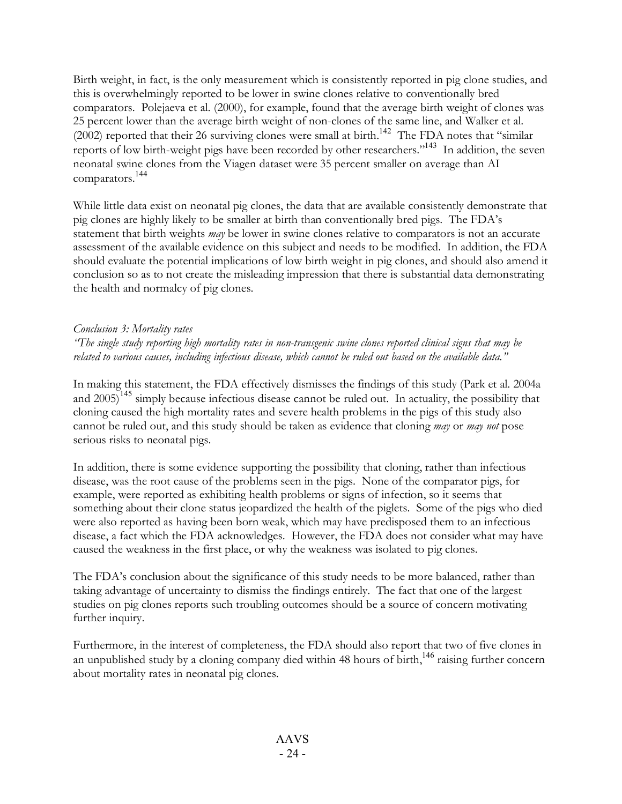Birth weight, in fact, is the only measurement which is consistently reported in pig clone studies, and this is overwhelmingly reported to be lower in swine clones relative to conventionally bred comparators. Polejaeva et al. (2000), for example, found that the average birth weight of clones was 25 percent lower than the average birth weight of non-clones of the same line, and Walker et al.  $(2002)$  reported that their 26 surviving clones were small at birth.<sup>142</sup> The FDA notes that "similar reports of low birth-weight pigs have been recorded by other researchers."<sup>143</sup> In addition, the seven neonatal swine clones from the Viagen dataset were 35 percent smaller on average than AI comparators. 144

While little data exist on neonatal pig clones, the data that are available consistently demonstrate that pig clones are highly likely to be smaller at birth than conventionally bred pigs. The FDA's statement that birth weights *may* be lower in swine clones relative to comparators is not an accurate assessment of the available evidence on this subject and needs to be modified. In addition, the FDA should evaluate the potential implications of low birth weight in pig clones, and should also amend it conclusion so as to not create the misleading impression that there is substantial data demonstrating the health and normalcy of pig clones.

#### *Conclusion 3: Mortality rates*

"The single study reporting high mortality rates in non-transgenic swine clones reported clinical signs that may be related to various causes, including infectious disease, which cannot be ruled out based on the available data."

In making this statement, the FDA effectively dismisses the findings of this study (Park et al. 2004a and  $2005$ <sup>145</sup> simply because infectious disease cannot be ruled out. In actuality, the possibility that cloning caused the high mortality rates and severe health problems in the pigs of this study also cannot be ruled out, and this study should be taken as evidence that cloning *may* or *may not* pose serious risks to neonatal pigs.

In addition, there is some evidence supporting the possibility that cloning, rather than infectious disease, was the root cause of the problems seen in the pigs. None of the comparator pigs, for example, were reported as exhibiting health problems or signs of infection, so it seems that something about their clone status jeopardized the health of the piglets. Some of the pigs who died were also reported as having been born weak, which may have predisposed them to an infectious disease, a fact which the FDA acknowledges. However, the FDA does not consider what may have caused the weakness in the first place, or why the weakness was isolated to pig clones.

The FDA's conclusion about the significance of this study needs to be more balanced, rather than taking advantage of uncertainty to dismiss the findings entirely. The fact that one of the largest studies on pig clones reports such troubling outcomes should be a source of concern motivating further inquiry.

Furthermore, in the interest of completeness, the FDA should also report that two of five clones in an unpublished study by a cloning company died within 48 hours of birth,<sup>146</sup> raising further concern about mortality rates in neonatal pig clones.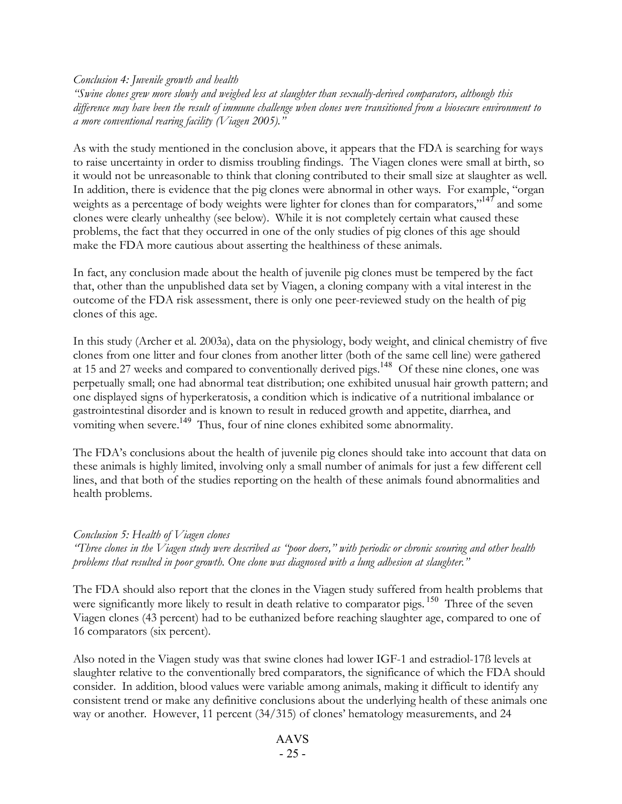*Conclusion 4: Juvenile growth and health*

*"Swine clones grew more slowly and weighed less at slaughter than sexually-derived comparators, although this* difference may have been the result of immune challenge when clones were transitioned from a biosecure environment to *a more conventional rearing facility (Viagen 2005)."*

As with the study mentioned in the conclusion above, it appears that the FDA is searching for ways to raise uncertainty in order to dismiss troubling findings. The Viagen clones were small at birth, so it would not be unreasonable to think that cloning contributed to their small size at slaughter as well. In addition, there is evidence that the pig clones were abnormal in other ways. For example, "organ weights as a percentage of body weights were lighter for clones than for comparators,"<sup>147</sup> and some clones were clearly unhealthy (see below). While it is not completely certain what caused these problems, the fact that they occurred in one of the only studies of pig clones of this age should make the FDA more cautious about asserting the healthiness of these animals.

In fact, any conclusion made about the health of juvenile pig clones must be tempered by the fact that, other than the unpublished data set by Viagen, a cloning company with a vital interest in the outcome of the FDA risk assessment, there is only one peer-reviewed study on the health of pig clones of this age.

In this study (Archer et al. 2003a), data on the physiology, body weight, and clinical chemistry of five clones from one litter and four clones from another litter (both of the same cell line) were gathered at 15 and 27 weeks and compared to conventionally derived pigs.<sup>148</sup> Of these nine clones, one was perpetually small; one had abnormal teat distribution; one exhibited unusual hair growth pattern; and one displayed signs of hyperkeratosis, a condition which is indicative of a nutritional imbalance or gastrointestinal disorder and is known to result in reduced growth and appetite, diarrhea, and vomiting when severe.<sup>149</sup> Thus, four of nine clones exhibited some abnormality.

The FDA's conclusions about the health of juvenile pig clones should take into account that data on these animals is highly limited, involving only a small number of animals for just a few different cell lines, and that both of the studies reporting on the health of these animals found abnormalities and health problems.

#### *Conclusion 5: Health of Viagen clones*

"Three clones in the Viagen study were described as "poor doers," with periodic or chronic scouring and other health *problems that resulted in poor growth. One clone was diagnosed with a lung adhesion at slaughter."*

The FDA should also report that the clones in the Viagen study suffered from health problems that were significantly more likely to result in death relative to comparator pigs.<sup>150</sup> Three of the seven Viagen clones (43 percent) had to be euthanized before reaching slaughter age, compared to one of 16 comparators (six percent).

Also noted in the Viagen study was that swine clones had lower IGF-1 and estradiol-17ß levels at slaughter relative to the conventionally bred comparators, the significance of which the FDA should consider. In addition, blood values were variable among animals, making it difficult to identify any consistent trend or make any definitive conclusions about the underlying health of these animals one way or another. However, 11 percent (34/315) of clones' hematology measurements, and 24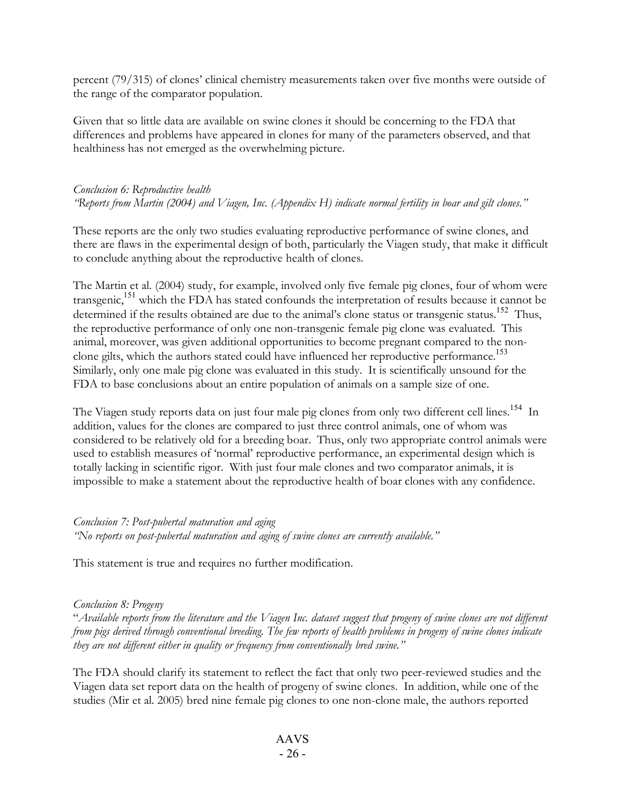percent (79/315) of clones' clinical chemistry measurements taken over five months were outside of the range of the comparator population.

Given that so little data are available on swine clones it should be concerning to the FDA that differences and problems have appeared in clones for many of the parameters observed, and that healthiness has not emerged as the overwhelming picture.

## *Conclusion 6: Reproductive health "Reports from Martin (2004) and Viagen, Inc. (Appendix H) indicate normal fertility in boar and gilt clones."*

These reports are the only two studies evaluating reproductive performance of swine clones, and there are flaws in the experimental design of both, particularly the Viagen study, that make it difficult to conclude anything about the reproductive health of clones.

The Martin et al. (2004) study, for example, involved only five female pig clones, four of whom were transgenic, 151 which the FDA has stated confounds the interpretation of results because it cannot be determined if the results obtained are due to the animal's clone status or transgenic status.<sup>152</sup> Thus, the reproductive performance of only one non-transgenic female pig clone was evaluated. This animal, moreover, was given additional opportunities to become pregnant compared to the nonclone gilts, which the authors stated could have influenced her reproductive performance. 153 Similarly, only one male pig clone was evaluated in this study. It is scientifically unsound for the FDA to base conclusions about an entire population of animals on a sample size of one.

The Viagen study reports data on just four male pig clones from only two different cell lines.<sup>154</sup> In addition, values for the clones are compared to just three control animals, one of whom was considered to be relatively old for a breeding boar. Thus, only two appropriate control animals were used to establish measures of 'normal' reproductive performance, an experimental design which is totally lacking in scientific rigor. With just four male clones and two comparator animals, it is impossible to make a statement about the reproductive health of boar clones with any confidence.

## *Conclusion 7: Post-pubertal maturation and aging*

*"No reports on post-pubertal maturation and aging of swine clones are currently available."*

This statement is true and requires no further modification.

#### *Conclusion 8: Progeny*

"Available reports from the literature and the Viagen Inc. dataset suggest that progeny of swine clones are not different from pigs derived through conventional breeding. The few reports of health problems in progeny of swine clones indicate *they are not different either in quality or frequency from conventionally bred swine."*

The FDA should clarify its statement to reflect the fact that only two peer-reviewed studies and the Viagen data set report data on the health of progeny of swine clones. In addition, while one of the studies (Mir et al. 2005) bred nine female pig clones to one non-clone male, the authors reported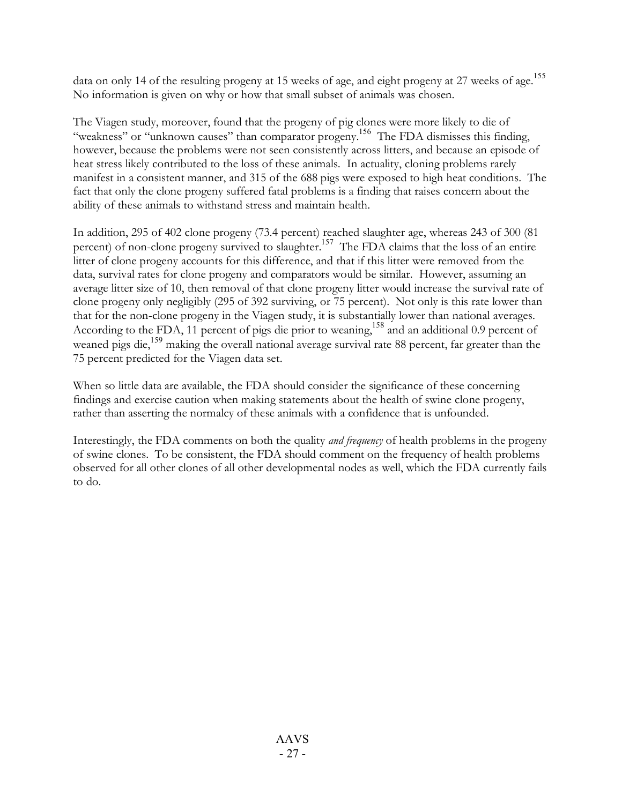data on only 14 of the resulting progeny at 15 weeks of age, and eight progeny at 27 weeks of age.<sup>155</sup> No information is given on why or how that small subset of animals was chosen.

The Viagen study, moreover, found that the progeny of pig clones were more likely to die of "weakness" or "unknown causes" than comparator progeny.<sup>156</sup> The FDA dismisses this finding, however, because the problems were not seen consistently across litters, and because an episode of heat stress likely contributed to the loss of these animals. In actuality, cloning problems rarely manifest in a consistent manner, and 315 of the 688 pigs were exposed to high heat conditions. The fact that only the clone progeny suffered fatal problems is a finding that raises concern about the ability of these animals to withstand stress and maintain health.

In addition, 295 of 402 clone progeny (73.4 percent) reached slaughter age, whereas 243 of 300 (81 percent) of non-clone progeny survived to slaughter.<sup>157</sup> The FDA claims that the loss of an entire litter of clone progeny accounts for this difference, and that if this litter were removed from the data, survival rates for clone progeny and comparators would be similar. However, assuming an average litter size of 10, then removal of that clone progeny litter would increase the survival rate of clone progeny only negligibly (295 of 392 surviving, or 75 percent). Not only is this rate lower than that for the non-clone progeny in the Viagen study, it is substantially lower than national averages. According to the FDA, 11 percent of pigs die prior to weaning,<sup>158</sup> and an additional 0.9 percent of weaned pigs die,<sup>159</sup> making the overall national average survival rate 88 percent, far greater than the 75 percent predicted for the Viagen data set.

When so little data are available, the FDA should consider the significance of these concerning findings and exercise caution when making statements about the health of swine clone progeny, rather than asserting the normalcy of these animals with a confidence that is unfounded.

Interestingly, the FDA comments on both the quality *and frequency* of health problems in the progeny of swine clones. To be consistent, the FDA should comment on the frequency of health problems observed for all other clones of all other developmental nodes as well, which the FDA currently fails to do.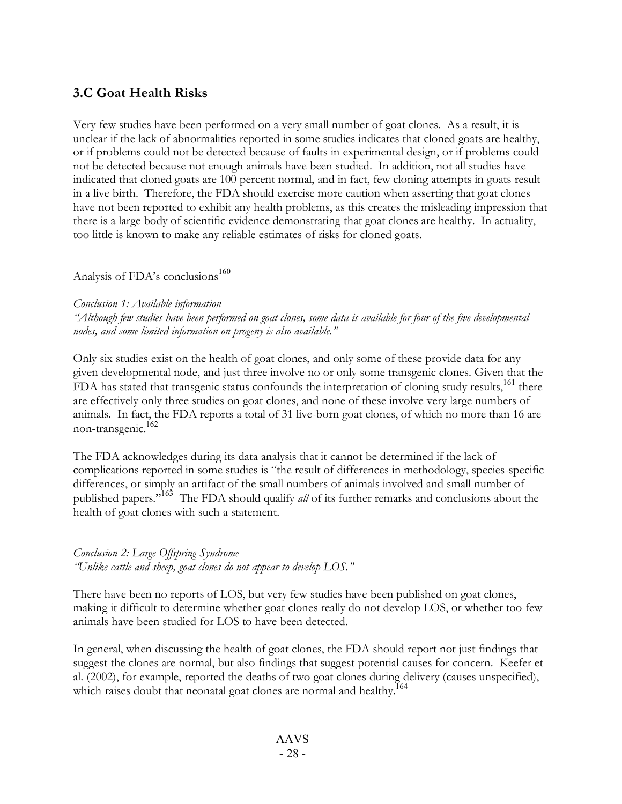# **3.C Goat Health Risks**

Very few studies have been performed on a very small number of goat clones. As a result, it is unclear if the lack of abnormalities reported in some studies indicates that cloned goats are healthy, or if problems could not be detected because of faults in experimental design, or if problems could not be detected because not enough animals have been studied. In addition, not all studies have indicated that cloned goats are 100 percent normal, and in fact, few cloning attempts in goats result in a live birth. Therefore, the FDA should exercise more caution when asserting that goat clones have not been reported to exhibit any health problems, as this creates the misleading impression that there is a large body of scientific evidence demonstrating that goat clones are healthy. In actuality, too little is known to make any reliable estimates of risks for cloned goats.

# Analysis of FDA's conclusions 160

#### *Conclusion 1: Available information*

"Although few studies have been performed on goat clones, some data is available for four of the five developmental *nodes, and some limited information on progeny is also available."*

Only six studies exist on the health of goat clones, and only some of these provide data for any given developmental node, and just three involve no or only some transgenic clones. Given that the FDA has stated that transgenic status confounds the interpretation of cloning study results,<sup>161</sup> there are effectively only three studies on goat clones, and none of these involve very large numbers of animals. In fact, the FDA reports a total of 31 live-born goat clones, of which no more than 16 are non-transgenic. 162

The FDA acknowledges during its data analysis that it cannot be determined if the lack of complications reported in some studies is "the result of differences in methodology, species-specific differences, or simply an artifact of the small numbers of animals involved and small number of published papers." <sup>163</sup> The FDA should qualify *all* of its further remarks and conclusions about the health of goat clones with such a statement.

## *Conclusion 2: Large Offspring Syndrome "Unlike cattle and sheep, goat clones do not appear to develop LOS."*

There have been no reports of LOS, but very few studies have been published on goat clones, making it difficult to determine whether goat clones really do not develop LOS, or whether too few animals have been studied for LOS to have been detected.

In general, when discussing the health of goat clones, the FDA should report not just findings that suggest the clones are normal, but also findings that suggest potential causes for concern. Keefer et al. (2002), for example, reported the deaths of two goat clones during delivery (causes unspecified), which raises doubt that neonatal goat clones are normal and healthy.<sup>164</sup>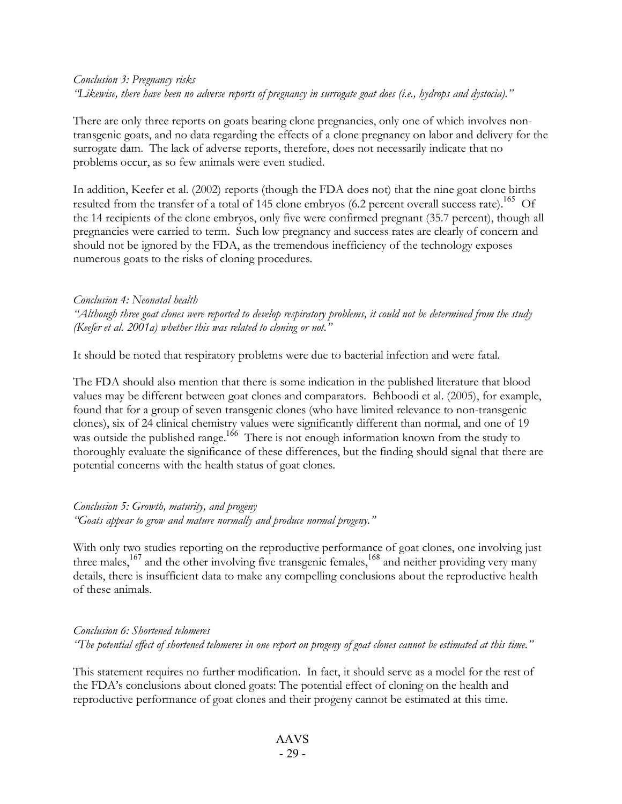## *Conclusion 3: Pregnancy risks* "Likewise, there have been no adverse reports of pregnancy in surrogate goat does (i.e., hydrops and dystocia)."

There are only three reports on goats bearing clone pregnancies, only one of which involves nontransgenic goats, and no data regarding the effects of a clone pregnancy on labor and delivery for the surrogate dam. The lack of adverse reports, therefore, does not necessarily indicate that no problems occur, as so few animals were even studied.

In addition, Keefer et al. (2002) reports (though the FDA does not) that the nine goat clone births resulted from the transfer of a total of 145 clone embryos (6.2 percent overall success rate).<sup>165</sup> Of the 14 recipients of the clone embryos, only five were confirmed pregnant (35.7 percent), though all pregnancies were carried to term. Such low pregnancy and success rates are clearly of concern and should not be ignored by the FDA, as the tremendous inefficiency of the technology exposes numerous goats to the risks of cloning procedures.

#### *Conclusion 4: Neonatal health*

"Although three goat clones were reported to develop respiratory problems, it could not be determined from the study *(Keefer et al. 2001a) whether this was related to cloning or not."*

It should be noted that respiratory problems were due to bacterial infection and were fatal.

The FDA should also mention that there is some indication in the published literature that blood values may be different between goat clones and comparators. Behboodi et al. (2005), for example, found that for a group of seven transgenic clones (who have limited relevance to non-transgenic clones), six of 24 clinical chemistry values were significantly different than normal, and one of 19 was outside the published range.<sup>166</sup> There is not enough information known from the study to thoroughly evaluate the significance of these differences, but the finding should signal that there are potential concerns with the health status of goat clones.

## *Conclusion 5: Growth, maturity, and progeny "Goats appear to grow and mature normally and produce normal progeny."*

With only two studies reporting on the reproductive performance of goat clones, one involving just three males,<sup>167</sup> and the other involving five transgenic females,<sup>168</sup> and neither providing very many details, there is insufficient data to make any compelling conclusions about the reproductive health of these animals.

## *Conclusion 6: Shortened telomeres* "The potential effect of shortened telomeres in one report on progeny of goat clones cannot be estimated at this time."

This statement requires no further modification. In fact, it should serve as a model for the rest of the FDA's conclusions about cloned goats: The potential effect of cloning on the health and reproductive performance of goat clones and their progeny cannot be estimated at this time.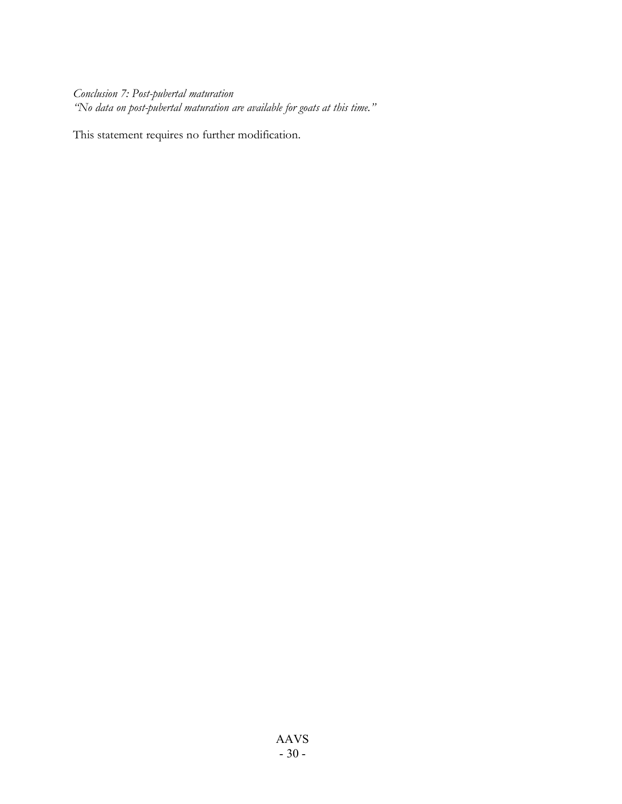*Conclusion 7: Post-pubertal maturation "No data on post-pubertal maturation are available for goats at this time."*

This statement requires no further modification.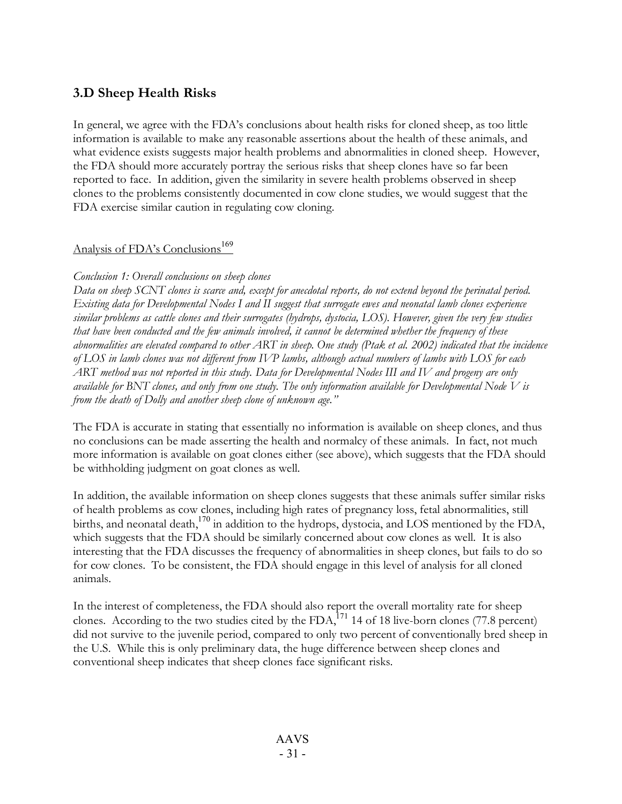# **3.D Sheep Health Risks**

In general, we agree with the FDA's conclusions about health risks for cloned sheep, as too little information is available to make any reasonable assertions about the health of these animals, and what evidence exists suggests major health problems and abnormalities in cloned sheep. However, the FDA should more accurately portray the serious risks that sheep clones have so far been reported to face. In addition, given the similarity in severe health problems observed in sheep clones to the problems consistently documented in cow clone studies, we would suggest that the FDA exercise similar caution in regulating cow cloning.

# Analysis of FDA's Conclusions<sup>169</sup>

## *Conclusion 1: Overall conclusions on sheep clones*

Data on sheep SCNT clones is scarce and, except for anecdotal reports, do not extend beyond the perinatal period. Existing data for Developmental Nodes I and II suggest that surrogate ewes and neonatal lamb clones experience similar problems as cattle clones and their surrogates (hydrops, dystocia, LOS). However, given the very few studies that have been conducted and the few animals involved, it cannot be determined whether the frequency of these abnormalities are elevated compared to other ART in sheep. One study (Ptak et al. 2002) indicated that the incidence of LOS in lamb clones was not different from IVP lambs, although actual numbers of lambs with LOS for each ART method was not reported in this study. Data for Developmental Nodes III and IV and progeny are only available for BNT clones, and only from one study. The only information available for Developmental Node  $V$  is *from the death of Dolly and another sheep clone of unknown age."*

The FDA is accurate in stating that essentially no information is available on sheep clones, and thus no conclusions can be made asserting the health and normalcy of these animals. In fact, not much more information is available on goat clones either (see above), which suggests that the FDA should be withholding judgment on goat clones as well.

In addition, the available information on sheep clones suggests that these animals suffer similar risks of health problems as cow clones, including high rates of pregnancy loss, fetal abnormalities, still births, and neonatal death, <sup>170</sup> in addition to the hydrops, dystocia, and LOS mentioned by the FDA, which suggests that the FDA should be similarly concerned about cow clones as well. It is also interesting that the FDA discusses the frequency of abnormalities in sheep clones, but fails to do so for cow clones. To be consistent, the FDA should engage in this level of analysis for all cloned animals.

In the interest of completeness, the FDA should also report the overall mortality rate for sheep clones. According to the two studies cited by the FDA,  $^{171}$  14 of 18 live-born clones (77.8 percent) did not survive to the juvenile period, compared to only two percent of conventionally bred sheep in the U.S. While this is only preliminary data, the huge difference between sheep clones and conventional sheep indicates that sheep clones face significant risks.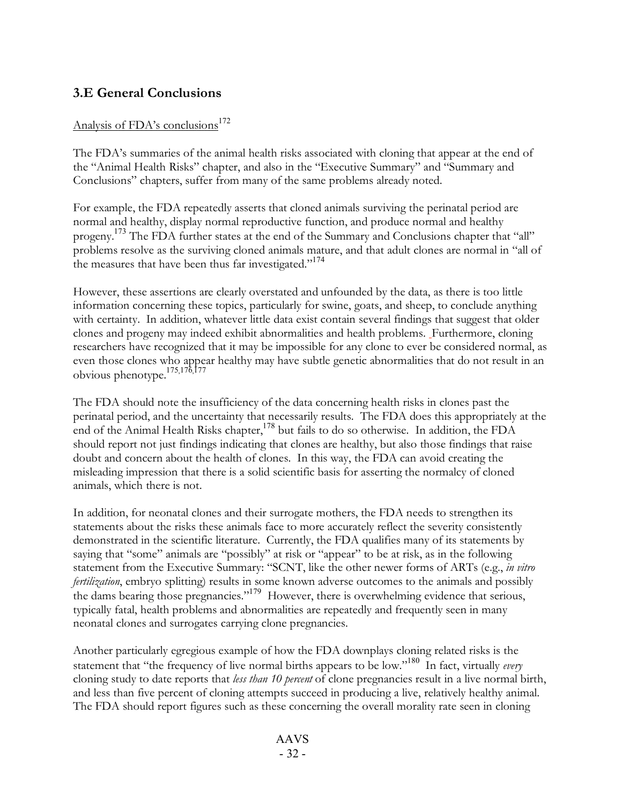# **3.E General Conclusions**

# Analysis of FDA's conclusions<sup>172</sup>

The FDA's summaries of the animal health risks associated with cloning that appear at the end of the "Animal Health Risks" chapter, and also in the "Executive Summary" and "Summary and Conclusions" chapters, suffer from many of the same problems already noted.

For example, the FDA repeatedly asserts that cloned animals surviving the perinatal period are normal and healthy, display normal reproductive function, and produce normal and healthy progeny.<sup>173</sup> The FDA further states at the end of the Summary and Conclusions chapter that "all" problems resolve as the surviving cloned animals mature, and that adult clones are normal in "all of the measures that have been thus far investigated."<sup>174</sup>

However, these assertions are clearly overstated and unfounded by the data, as there is too little information concerning these topics, particularly for swine, goats, and sheep, to conclude anything with certainty. In addition, whatever little data exist contain several findings that suggest that older clones and progeny may indeed exhibit abnormalities and health problems. Furthermore, cloning researchers have recognized that it may be impossible for any clone to ever be considered normal, as even those clones who appear healthy may have subtle genetic abnormalities that do not result in an obvious phenotype. 175,176,177

The FDA should note the insufficiency of the data concerning health risks in clones past the perinatal period, and the uncertainty that necessarily results. The FDA does this appropriately at the end of the Animal Health Risks chapter,<sup>178</sup> but fails to do so otherwise. In addition, the FDA should report not just findings indicating that clones are healthy, but also those findings that raise doubt and concern about the health of clones. In this way, the FDA can avoid creating the misleading impression that there is a solid scientific basis for asserting the normalcy of cloned animals, which there is not.

In addition, for neonatal clones and their surrogate mothers, the FDA needs to strengthen its statements about the risks these animals face to more accurately reflect the severity consistently demonstrated in the scientific literature. Currently, the FDA qualifies many of its statements by saying that "some" animals are "possibly" at risk or "appear" to be at risk, as in the following statement from the Executive Summary: "SCNT, like the other newer forms of ARTs (e.g., *in vitro fertilization*, embryo splitting) results in some known adverse outcomes to the animals and possibly the dams bearing those pregnancies." <sup>179</sup> However, there is overwhelming evidence that serious, typically fatal, health problems and abnormalities are repeatedly and frequently seen in many neonatal clones and surrogates carrying clone pregnancies.

Another particularly egregious example of how the FDA downplays cloning related risks is the statement that "the frequency of live normal births appears to be low." <sup>180</sup> In fact, virtually *every* cloning study to date reports that *less than 10 percent* of clone pregnancies result in a live normal birth, and less than five percent of cloning attempts succeed in producing a live, relatively healthy animal. The FDA should report figures such as these concerning the overall morality rate seen in cloning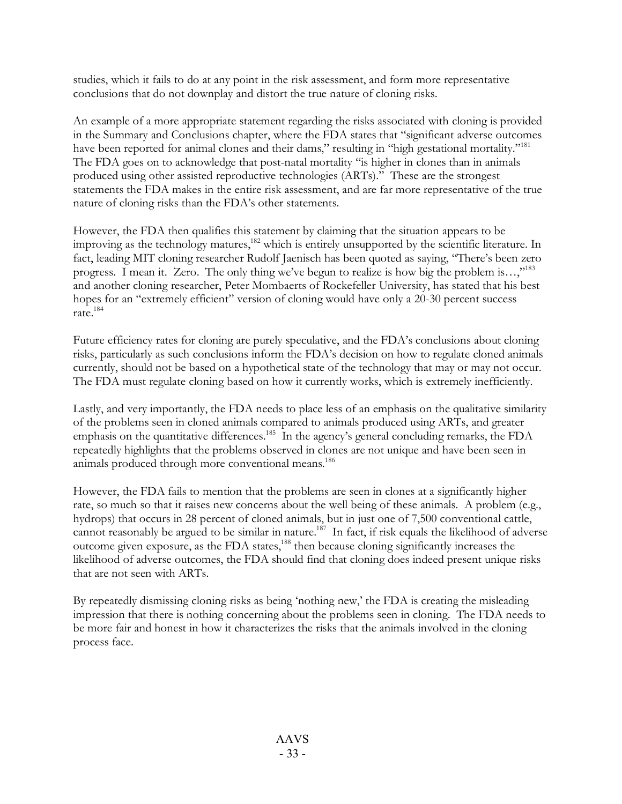studies, which it fails to do at any point in the risk assessment, and form more representative conclusions that do not downplay and distort the true nature of cloning risks.

An example of a more appropriate statement regarding the risks associated with cloning is provided in the Summary and Conclusions chapter, where the FDA states that "significant adverse outcomes have been reported for animal clones and their dams," resulting in "high gestational mortality."<sup>181</sup> The FDA goes on to acknowledge that post-natal mortality "is higher in clones than in animals produced using other assisted reproductive technologies (ARTs)." These are the strongest statements the FDA makes in the entire risk assessment, and are far more representative of the true nature of cloning risks than the FDA's other statements.

However, the FDA then qualifies this statement by claiming that the situation appears to be improving as the technology matures,<sup>182</sup> which is entirely unsupported by the scientific literature. In fact, leading MIT cloning researcher Rudolf Jaenisch has been quoted as saying, "There's been zero progress. I mean it. Zero. The only thing we've begun to realize is how big the problem is...,"<sup>183</sup> and another cloning researcher, Peter Mombaerts of Rockefeller University, has stated that his best hopes for an "extremely efficient" version of cloning would have only a 20-30 percent success rate. 184

Future efficiency rates for cloning are purely speculative, and the FDA's conclusions about cloning risks, particularly as such conclusions inform the FDA's decision on how to regulate cloned animals currently, should not be based on a hypothetical state of the technology that may or may not occur. The FDA must regulate cloning based on how it currently works, which is extremely inefficiently.

Lastly, and very importantly, the FDA needs to place less of an emphasis on the qualitative similarity of the problems seen in cloned animals compared to animals produced using ARTs, and greater emphasis on the quantitative differences.<sup>185</sup> In the agency's general concluding remarks, the FDA repeatedly highlights that the problems observed in clones are not unique and have been seen in animals produced through more conventional means. 186

However, the FDA fails to mention that the problems are seen in clones at a significantly higher rate, so much so that it raises new concerns about the well being of these animals. A problem (e.g., hydrops) that occurs in 28 percent of cloned animals, but in just one of 7,500 conventional cattle, cannot reasonably be argued to be similar in nature.<sup>187</sup> In fact, if risk equals the likelihood of adverse outcome given exposure, as the FDA states,<sup>188</sup> then because cloning significantly increases the likelihood of adverse outcomes, the FDA should find that cloning does indeed present unique risks that are not seen with ARTs.

By repeatedly dismissing cloning risks as being 'nothing new,' the FDA is creating the misleading impression that there is nothing concerning about the problems seen in cloning. The FDA needs to be more fair and honest in how it characterizes the risks that the animals involved in the cloning process face.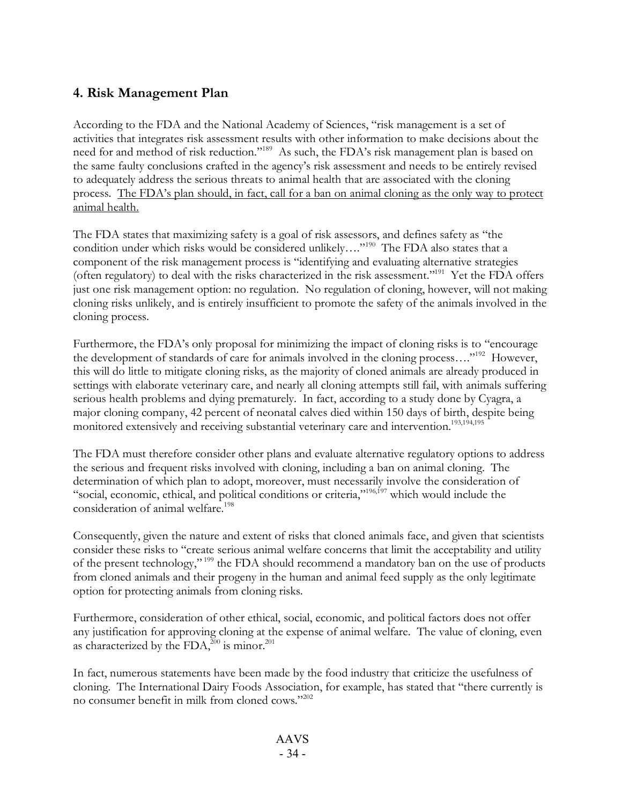# **4. Risk Management Plan**

According to the FDA and the National Academy of Sciences, "risk management is a set of activities that integrates risk assessment results with other information to make decisions about the need for and method of risk reduction."<sup>189</sup> As such, the FDA's risk management plan is based on the same faulty conclusions crafted in the agency's risk assessment and needs to be entirely revised to adequately address the serious threats to animal health that are associated with the cloning process. The FDA's plan should, in fact, call for a ban on animal cloning as the only way to protect animal health.

The FDA states that maximizing safety is a goal of risk assessors, and defines safety as "the condition under which risks would be considered unlikely...."<sup>190</sup> The FDA also states that a component of the risk management process is "identifying and evaluating alternative strategies (often regulatory) to deal with the risks characterized in the risk assessment."<sup>191</sup> Yet the FDA offers just one risk management option: no regulation. No regulation of cloning, however, will not making cloning risks unlikely, and is entirely insufficient to promote the safety of the animals involved in the cloning process.

Furthermore, the FDA's only proposal for minimizing the impact of cloning risks is to "encourage the development of standards of care for animals involved in the cloning process...."<sup>192</sup> However, this will do little to mitigate cloning risks, as the majority of cloned animals are already produced in settings with elaborate veterinary care, and nearly all cloning attempts still fail, with animals suffering serious health problems and dying prematurely. In fact, according to a study done by Cyagra, a major cloning company, 42 percent of neonatal calves died within 150 days of birth, despite being monitored extensively and receiving substantial veterinary care and intervention. 193,194,195

The FDA must therefore consider other plans and evaluate alternative regulatory options to address the serious and frequent risks involved with cloning, including a ban on animal cloning. The determination of which plan to adopt, moreover, must necessarily involve the consideration of "social, economic, ethical, and political conditions or criteria,"<sup>196,197</sup> which would include the consideration of animal welfare. 198

Consequently, given the nature and extent of risks that cloned animals face, and given that scientists consider these risks to "create serious animal welfare concerns that limit the acceptability and utility of the present technology," <sup>199</sup> the FDA should recommend a mandatory ban on the use of products from cloned animals and their progeny in the human and animal feed supply as the only legitimate option for protecting animals from cloning risks.

Furthermore, consideration of other ethical, social, economic, and political factors does not offer any justification for approving cloning at the expense of animal welfare. The value of cloning, even as characterized by the FDA, $^{200}$  is minor.<sup>201</sup>

In fact, numerous statements have been made by the food industry that criticize the usefulness of cloning. The International Dairy Foods Association, for example, has stated that "there currently is no consumer benefit in milk from cloned cows."202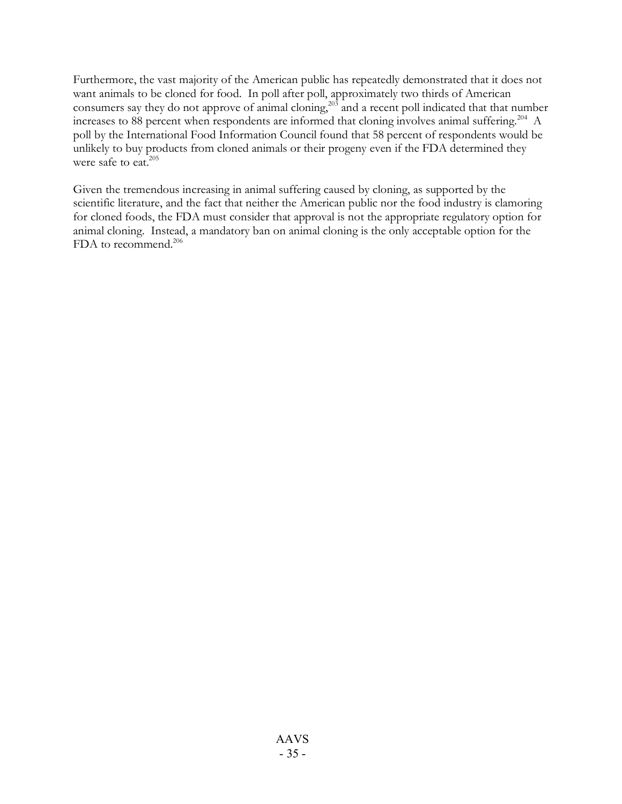Furthermore, the vast majority of the American public has repeatedly demonstrated that it does not want animals to be cloned for food. In poll after poll, approximately two thirds of American consumers say they do not approve of animal cloning,<sup>203</sup> and a recent poll indicated that that number increases to 88 percent when respondents are informed that cloning involves animal suffering.<sup>204</sup> A poll by the International Food Information Council found that 58 percent of respondents would be unlikely to buy products from cloned animals or their progeny even if the FDA determined they were safe to eat.<sup>205</sup>

Given the tremendous increasing in animal suffering caused by cloning, as supported by the scientific literature, and the fact that neither the American public nor the food industry is clamoring for cloned foods, the FDA must consider that approval is not the appropriate regulatory option for animal cloning. Instead, a mandatory ban on animal cloning is the only acceptable option for the FDA to recommend.<sup>206</sup>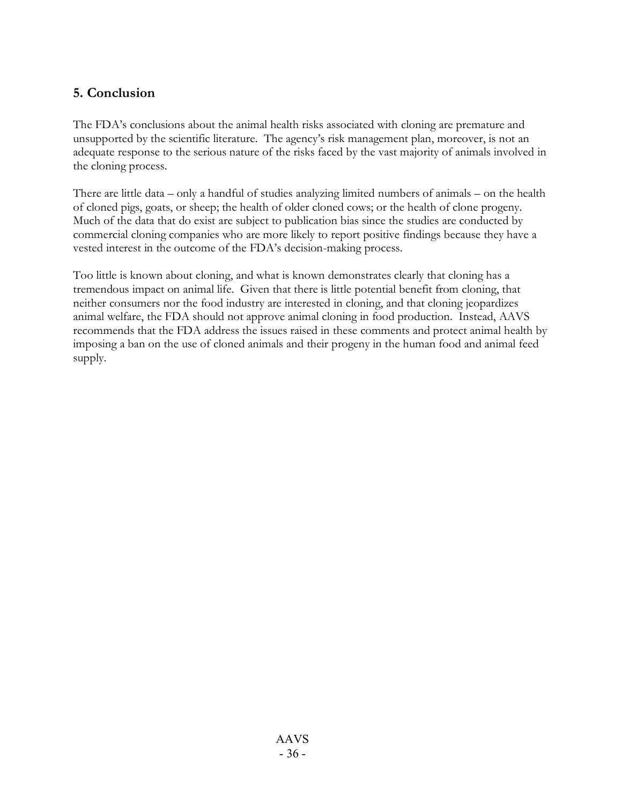# **5. Conclusion**

The FDA's conclusions about the animal health risks associated with cloning are premature and unsupported by the scientific literature. The agency's risk management plan, moreover, is not an adequate response to the serious nature of the risks faced by the vast majority of animals involved in the cloning process.

There are little data – only a handful of studies analyzing limited numbers of animals – on the health of cloned pigs, goats, or sheep; the health of older cloned cows; or the health of clone progeny. Much of the data that do exist are subject to publication bias since the studies are conducted by commercial cloning companies who are more likely to report positive findings because they have a vested interest in the outcome of the FDA's decision-making process.

Too little is known about cloning, and what is known demonstrates clearly that cloning has a tremendous impact on animal life. Given that there is little potential benefit from cloning, that neither consumers nor the food industry are interested in cloning, and that cloning jeopardizes animal welfare, the FDA should not approve animal cloning in food production. Instead, AAVS recommends that the FDA address the issues raised in these comments and protect animal health by imposing a ban on the use of cloned animals and their progeny in the human food and animal feed supply.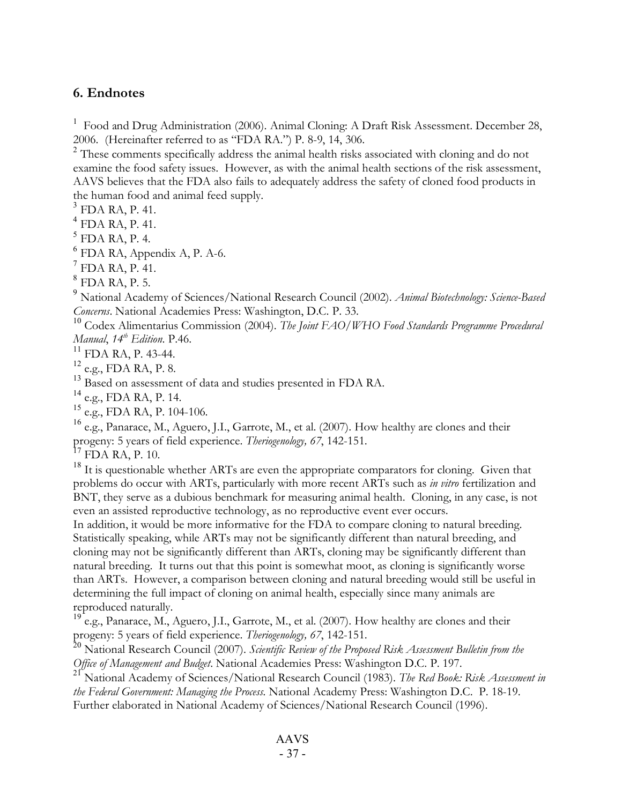## **6. Endnotes**

<sup>1</sup> Food and Drug Administration (2006). Animal Cloning: A Draft Risk Assessment. December 28, 2006. (Hereinafter referred to as "FDA RA.") P. 8-9, 14, 306.

<sup>2</sup> These comments specifically address the animal health risks associated with cloning and do not examine the food safety issues. However, as with the animal health sections of the risk assessment, AAVS believes that the FDA also fails to adequately address the safety of cloned food products in the human food and animal feed supply.<br>
<sup>3</sup> FDA RA, P. 41.<br>
<sup>4</sup> FDA RA, P. 41.<br>
<sup>5</sup> FDA RA, P. 4.<br>
<sup>6</sup> FDA RA, Appendix A, P. A-6.<br>
<sup>7</sup> FDA RA, P. 41.<br>
<sup>8</sup> FDA RA, P. 5.<br>
<sup>9</sup> National Academy of Sciences/National Research

*Concerns*. National Academies Press: Washington, D.C. P. 33. <sup>10</sup> Codex Alimentarius Commission (2004). *The Joint FAO/WHO Food Standards Programme Procedural*

*Manual*, *14<sup>th</sup> Edition*. P.46.<br><sup>11</sup> FDA RA, P. 43-44.<br><sup>12</sup> e.g., FDA RA, P. 8.

 $^{13}$  Based on assessment of data and studies presented in FDA RA.

 $^{14}$  e.g., FDA RA, P. 14.

 $^{15}$  e.g., FDA RA, P. 104-106.

<sup>16</sup> e.g., Panarace, M., Aguero, J.I., Garrote, M., et al. (2007). How healthy are clones and their progeny: 5 years of field experience. *Theriogenology, 67*, 142-151.<br><sup>17</sup> FDA RA, P. 10.<br><sup>18</sup> It is questionable whether ARTs are even the appropriate comparators for cloning. Given that

problems do occur with ARTs, particularly with more recent ARTs such as *in vitro* fertilization and BNT, they serve as a dubious benchmark for measuring animal health. Cloning, in any case, is not even an assisted reproductive technology, as no reproductive event ever occurs.

In addition, it would be more informative for the FDA to compare cloning to natural breeding. Statistically speaking, while ARTs may not be significantly different than natural breeding, and cloning may not be significantly different than ARTs, cloning may be significantly different than natural breeding. It turns out that this point is somewhat moot, as cloning is significantly worse than ARTs. However, a comparison between cloning and natural breeding would still be useful in determining the full impact of cloning on animal health, especially since many animals are reproduced naturally.

 $^{19}$  e.g., Panarace, M., Aguero, J.I., Garrote, M., et al. (2007). How healthy are clones and their progeny: 5 years of field experience. Theriogenology, 67, 142-151.

<sup>20</sup> National Research Council (2007). Scientific Review of the Proposed Risk Assessment Bulletin from the Office of Management and Budget. National Academies Press: Washington D.C. P. 197.

<sup>21</sup> National Academy of Sciences/National Research Council (1983). The Red Book: Risk Assessment in *the Federal Government: Managing the Process.* National Academy Press: Washington D.C. P. 18-19. Further elaborated in National Academy of Sciences/National Research Council (1996).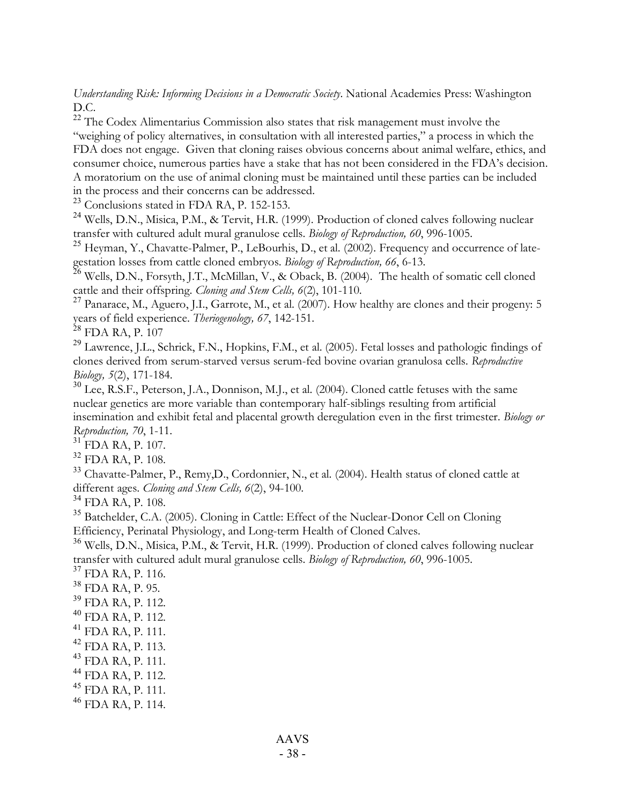*Understanding Risk: Informing Decisions in a Democratic Society*. National Academies Press: Washington D.C. <sup>22</sup> The Codex Alimentarius Commission also states that risk management must involve the

"weighing of policy alternatives, in consultation with all interested parties," a process in which the FDA does not engage. Given that cloning raises obvious concerns about animal welfare, ethics, and consumer choice, numerous parties have a stake that has not been considered in the FDA's decision. A moratorium on the use of animal cloning must be maintained until these parties can be included in the process and their concerns can be addressed.<br><sup>23</sup> Conclusions stated in FDA RA, P. 152-153.

<sup>24</sup> Wells, D.N., Misica, P.M., & Tervit, H.R. (1999). Production of cloned calves following nuclear transfer with cultured adult mural granulose cells. *Biology of Reproduction*, 60, 996-1005.

<sup>25</sup> Heyman, Y., Chavatte-Palmer, P., LeBourhis, D., et al. (2002). Frequency and occurrence of late-

gestation losses from cattle cloned embryos. *Biology of Reproduction,* 66, 6-13.<br><sup>26</sup> Wells, D.N., Forsyth, J.T., McMillan, V., & Oback, B. (2004). The health of somatic cell cloned cattle and their offspring. *Cloning an* 

<sup>27</sup> Panarace, M., Aguero, J.I., Garrote, M., et al. (2007). How healthy are clones and their progeny: 5 years of field experience. *Theriogenology*, *67*, 142-151.<br><sup>28</sup> FDA RA, P. 107

<sup>29</sup> Lawrence, J.L., Schrick, F.N., Hopkins, F.M., et al. (2005). Fetal losses and pathologic findings of clones derived from serum-starved versus serum-fed bovine ovarian granulosa cells. *Reproductive Biology, 5*(2), 171-184.<br><sup>30</sup> Lee, R.S.F., Peterson, J.A., Donnison, M.J., et al. (2004). Cloned cattle fetuses with the same

nuclear genetics are more variable than contemporary half-siblings resulting from artificial insemination and exhibit fetal and placental growth deregulation even in the first trimester. *Biology or*

*Reproduction, 70,* 1-11.<br><sup>31</sup> FDA RA, P. 107.<br><sup>32</sup> FDA RA, P. 108.<br><sup>33</sup> Chavatte-Palmer, P., Remy,D., Cordonnier, N., et al. (2004). Health status of cloned cattle at<br>different ages. *Cloning and Stem Cells, 6*(2), 94-100

<sup>34</sup> FDA RA, P. 108.<br><sup>35</sup> Batchelder, C.A. (2005). Cloning in Cattle: Effect of the Nuclear-Donor Cell on Cloning<br>Efficiency, Perinatal Physiology, and Long-term Health of Cloned Calves.

<sup>36</sup> Wells, D.N., Misica, P.M., & Tervit, H.R. (1999). Production of cloned calves following nuclear transfer with cultured adult mural granulose cells. *Biology of Reproduction*, 60, 996-1005. transfer with cultured adult mural granulose cells. *Biology of Reproduction, 60*, 996-1005.<br><sup>37</sup> FDA RA, P. 116.<br><sup>38</sup> FDA RA, P. 95.<br><sup>39</sup> FDA RA, P. 112.<br><sup>41</sup> FDA RA, P. 111.<br><sup>41</sup> FDA RA, P. 111.<br><sup>42</sup> FDA RA, P. 111.<br><sup>43</sup>

- 
- 
- 
- 
- 
- 
- 
- 
-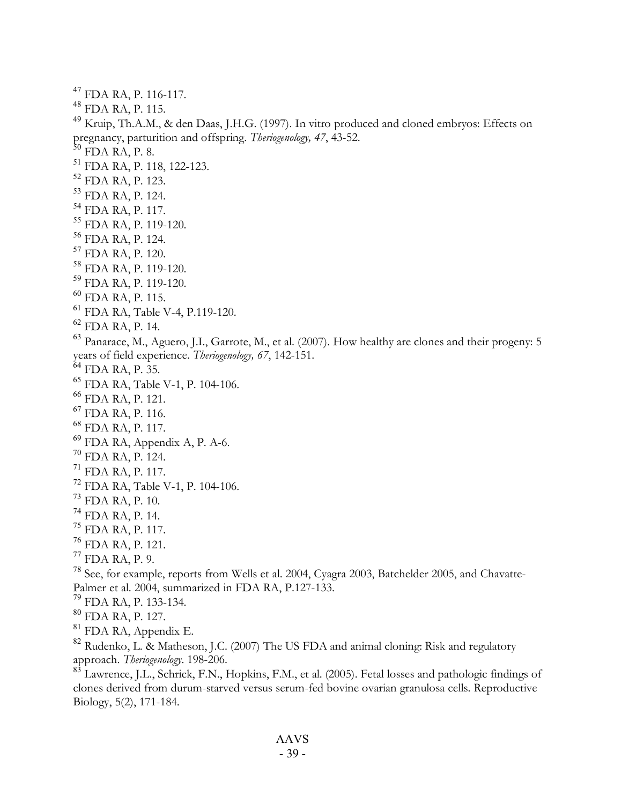<sup>47</sup> FDA RA, P. 116-117.<br><sup>48</sup> FDA RA, P. 115.<br><sup>49</sup> Kruip, Th.A.M., & den Daas, J.H.G. (1997). In vitro produced and cloned embryos: Effects on<br>pregnancy, parturition and offspring. *Theriogenology*, 47, 43-52.<br><sup>50</sup> FDA RA pregnancy, parturition and offspring. *Theriogenology, 47*, 43-52.<br><sup>51</sup> FDA RA, P. 8.<br><sup>51</sup> FDA RA, P. 118, 122-123.<br><sup>52</sup> FDA RA, P. 123.<br><sup>53</sup> FDA RA, P. 1214.<br><sup>54</sup> FDA RA, P. 117.<br><sup>55</sup> FDA RA, P. 119-120.<br><sup>56</sup> FDA RA, P. 1 vears of field experience. *Theriogenology, 67*, 142-151.<br>
<sup>65</sup> FDA RA, P. 35.<br>
<sup>66</sup> FDA RA, P. 121.<br>
<sup>67</sup> FDA RA, P. 121.<br>
<sup>67</sup> FDA RA, P. 116.<br>
<sup>68</sup> FDA RA, P. 117.<br>
<sup>69</sup> FDA RA, P. 117.<br>
<sup>69</sup> FDA RA, P. 117.<br>
<sup>79</sup> FDA R Palmer et al. 2004, summarized in FDA RA, P.127-133.<br>
<sup>79</sup> FDA RA, P. 133-134.<br>
<sup>80</sup> FDA RA, P. 127.<br>
<sup>81</sup> FDA RA, Appendix E.<br>
<sup>82</sup> Rudenko, L. & Matheson, J.C. (2007) The US FDA and animal cloning: Risk and regulatory<br>
a approach. *Theriogenology*. 198-206. <sup>83</sup> Lawrence, J.L., Schrick, F.N., Hopkins, F.M., et al. (2005). Fetal losses and pathologic findings of clones derived from durum-starved versus serum-fed bovine ovarian granulosa cells. Reproductive

Biology, 5(2), 171-184.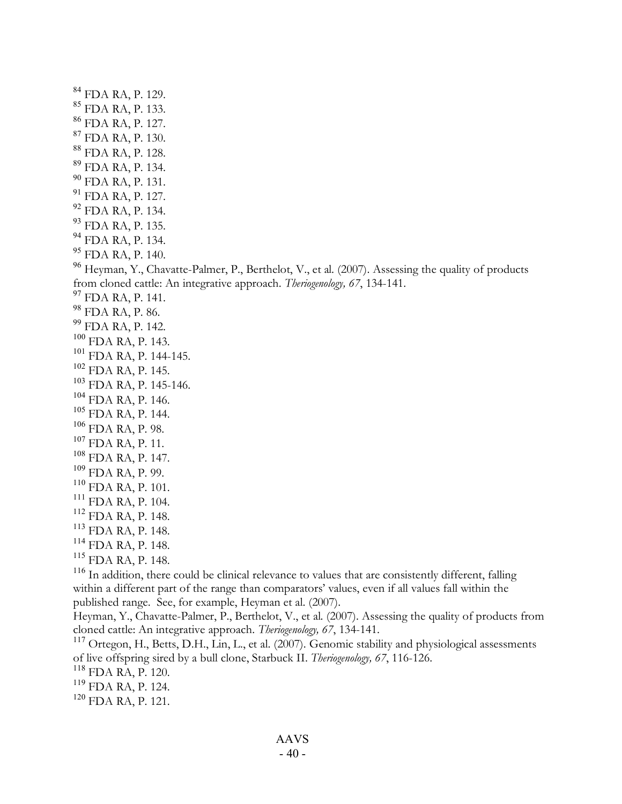<sup>84</sup> FDA RA, P. 129.<br>
<sup>85</sup> FDA RA, P. 133.<br>
<sup>86</sup> FDA RA, P. 137.<br>
<sup>87</sup> FDA RA, P. 130.<br>
<sup>88</sup> FDA RA, P. 134.<br>
<sup>99</sup> FDA RA, P. 131.<br>
<sup>91</sup> FDA RA, P. 131.<br>
<sup>91</sup> FDA RA, P. 137.<br>
<sup>92</sup> FDA RA, P. 134.<br>
<sup>94</sup> FDA RA, P. 134.<br>
<sup>9</sup> from cloned cattle: An integrative approach. *Theringenology*, 67, 134-141.<br><sup>99</sup> FDA RA, P. 141.<br><sup>98</sup> FDA RA, P. 142.<br><sup>99</sup> FDA RA, P. 142.<br><sup>99</sup> FDA RA, P. 143.<br><sup>103</sup> FDA RA, P. 145.<br><sup>103</sup> FDA RA, P. 145.<br><sup>103</sup> FDA RA, P. 1

within a different part of the range than comparators' values, even if all values fall within the published range. See, for example, Heyman et al. (2007).

Heyman, Y., Chavatte-Palmer, P., Berthelot, V., et al. (2007). Assessing the quality of products from cloned cattle: An integrative approach. *Theriogenology*, 67, 134-141.

<sup>117</sup> Ortegon, H., Betts, D.H., Lin, L., et al. (2007). Genomic stability and physiological assessments of live offspring sired by a bull clone, Starbuck II. *Theriogenology*, 67, 116-126.<br><sup>118</sup> FDA RA, P. 120.<br><sup>119</sup> FDA RA, P. 124.<br><sup>120</sup> FDA RA, P. 121.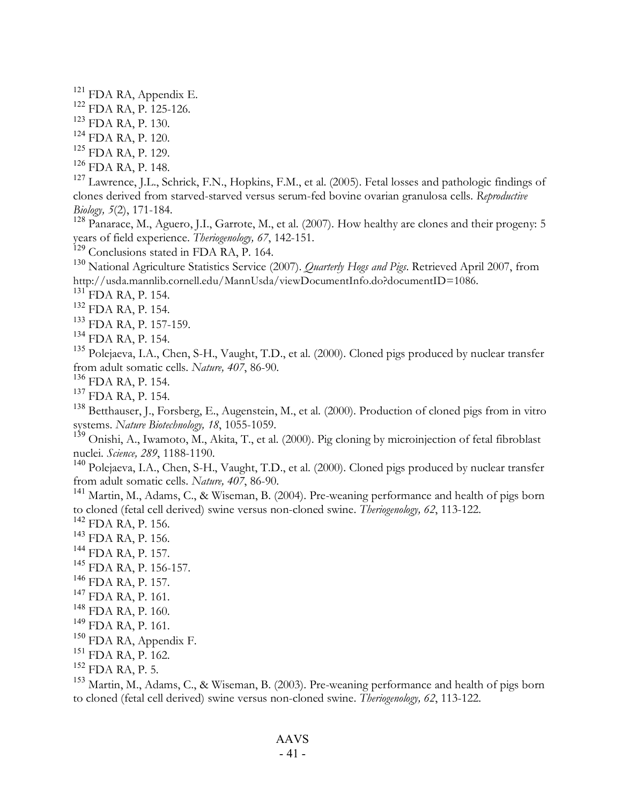- 
- 
- 
- 
- 

<sup>121</sup> FDA RA, Appendix E.<br>
<sup>122</sup> FDA RA, P. 125-126.<br>
<sup>123</sup> FDA RA, P. 130.<br>
<sup>124</sup> FDA RA, P. 129.<br>
<sup>126</sup> FDA RA, P. 148.<br>
<sup>126</sup> FDA RA, P. 148.<br>
<sup>126</sup> FDA RA, P. 148.<br>
<sup>126</sup> IDA RA, P. 148. clones derived from starved-starved versus serum-fed bovine ovarian granulosa cells. *Reproductive*

*Biology, 5*(2), 171-184.<br><sup>128</sup> Panarace, M., Aguero, J.I., Garrote, M., et al. (2007). How healthy are clones and their progeny: 5<br>years of field experience. *Theriogenology, 67*, 142-151.

<sup>129</sup> Conclusions stated in FDA RA, P. 164.<br><sup>130</sup> National Agriculture Statistics Service (2007). *Quarterly Hogs and Pigs*. Retrieved April 2007, from<br>http://usda.mannlib.cornell.edu/MannUsda/viewDocumentInfo.do?documentI

- 
- 
- 
- 

<sup>131</sup>FDA RA, P. 154.<br>
<sup>132</sup>FDA RA, P. 154.<br>
<sup>133</sup>FDA RA, P. 157-159.<br>
<sup>134</sup>FDA RA, P. 154.<br>
<sup>134</sup>FDA RA, P. 154.<br>
<sup>134</sup>FDA RA, P. 154.<br>
<sup>135</sup> Polejaeva, I.A., Chen, S-H., Vaught, T.D., et al. (2000). Cloned pigs produced

- 
- 

<sup>136</sup> FDA RA, P. 154.<br><sup>137</sup> FDA RA, P. 154.<br><sup>138</sup> Betthauser, J., Forsberg, E., Augenstein, M., et al. (2000). Production of cloned pigs from in vitro

systems. *Nature Biotechnology,* 18, 1055-1059.<br><sup>139</sup> Onishi, A., Iwamoto, M., Akita, T., et al. (2000). Pig cloning by microinjection of fetal fibroblast nuclei. *Science*, 289, 1188-1190.

nuclei. *Science, 289, 2000 289, 2000 289*, 2000. *Science, Chen, S-H., Vaught, T.D., et al. (2000). Cloned pigs produced by nuclear transfer* from adult somatic cells. *Nature, 407*, 86-90.

<sup>141</sup> Martin, M., Adams, C., & Wiseman, B. (2004). Pre-weaning performance and health of pigs born to cloned (fetal cell derived) swine versus non-cloned swine. *Theriogenology*, 62, 113-122.

- 
- 
- 
- 
- 
- 
- 
- 
- 
- 
- 

to cloned (fetal cell derived) swine versus non-cloned swine. *Theriogenology, 62*, 113-122.<br><sup>142</sup> FDA RA, P. 156.<br><sup>144</sup> FDA RA, P. 156.<br><sup>144</sup> FDA RA, P. 157.<br><sup>145</sup> FDA RA, P. 157.<br><sup>145</sup> FDA RA, P. 157.<br><sup>147</sup> FDA RA, P. 16 to cloned (fetal cell derived) swine versus non-cloned swine. *Theriogenology, 62*, 113-122.

- 41 -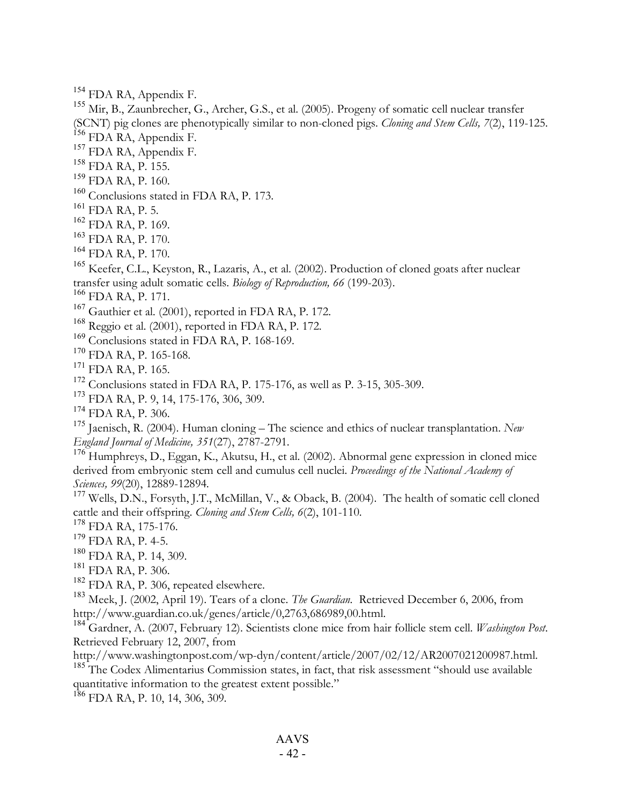<sup>154</sup> FDA RA, Appendix F.<br><sup>155</sup> Mir, B., Zaunbrecher, G., Archer, G.S., et al. (2005). Progeny of somatic cell nuclear transfer

(SCNT) pig clones are phenotypically similar to non-cloned pigs. *Cloning and Stem Cells*, 7(2), 119-125.<br><sup>156</sup> FDA RA, Appendix F.<br><sup>157</sup> FDA RA, Appendix F.<br><sup>157</sup> FDA RA, Appendix F.<br><sup>157</sup> FDA RA, P. 155.<br><sup>158</sup> FDA RA, P.

- 
- 

<sup>166</sup> FDA RA, P. 171.<br>
<sup>167</sup> Gauthier et al. (2001), reported in FDA RA, P. 172.<br>
<sup>168</sup> Reggio et al. (2001), reported in FDA RA, P. 172.<br>
<sup>169</sup> Conclusions stated in FDA RA, P. 168-169.<br>
<sup>170</sup> FDA RA, P. 165-168.<br>
<sup>171</sup>

*England Journal of Medicine, <sup>351</sup>*(27), 2787-2791. <sup>176</sup> Humphreys, D., Eggan, K., Akutsu, H., et al. (2002). Abnormal gene expression in cloned mice derived from embryonic stem cell and cumulus cell nuclei. *Proceedings of the National Academy of*

*Sciences, 99*(20), 12889-12894.<br><sup>177</sup> Wells, D.N., Forsyth, J.T., McMillan, V., & Oback, B. (2004). The health of somatic cell cloned<br>cattle and their offspring. *Cloning and Stem Cells, 6*(2), 101-110.

<sup>178</sup> FDA RA, 175-176.<br>
<sup>179</sup> FDA RA, P. 4-5.<br>
<sup>180</sup> FDA RA, P. 14, 309.<br>
<sup>181</sup> FDA RA, P. 306.<br>
<sup>181</sup> FDA RA, P. 306, repeated elsewhere.<br>
<sup>183</sup> Meek, J. (2002, April 19). Tears of a clone. *The Guardian*. Retrieved Dece

http://www.guardian.co.uk/genes/article/0,2763,686989,00.html. <sup>184</sup> Gardner, A. (2007, February 12). Scientists clone mice from hair follicle stem cell. *Washington Post*. Retrieved February 12, 2007, from<br>http://www.washingtonpost.com/wp-dyn/content/article/2007/02/12/AR2007021200987.html.

 $h<sup>185</sup>$  The Codex Alimentarius Commission states, in fact, that risk assessment "should use available quantitative information to the greatest extent possible." <sup>186</sup> FDA RA, P. 10, 14, 306, 309.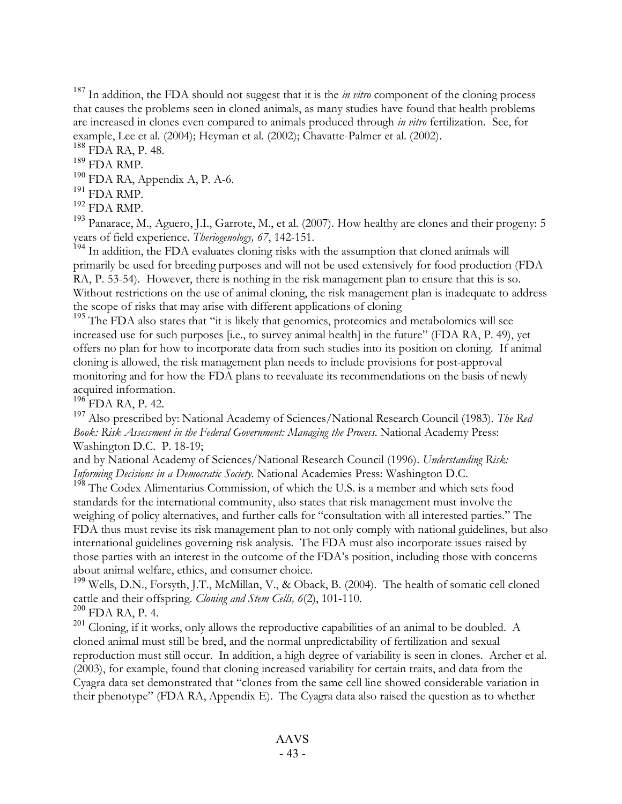<sup>187</sup> In addition, the FDA should not suggest that it is the *in vitro* component of the cloning process that causes the problems seen in cloned animals, as many studies have found that health problems are increased in clones even compared to animals produced through *in vitro* fertilization. See, for example, Lee et al. (2004); Heyman et al. (2002); Chavatte-Palmer et al. (2002).<br><sup>188</sup> FDA RA, P. 48.<br><sup>189</sup> FDA RMP.<br><sup>190</sup> FDA RA, Appendix A, P. A-6.<br><sup>191</sup> FDA RMP.<br><sup>192</sup> FDA RMP.<br><sup>192</sup> FDA RMP.<br><sup>192</sup> FDA RMP.

years of field experience. *Theriogenology, 67*, 142-151.<br><sup>194</sup> In addition, the FDA evaluates cloning risks with the assumption that cloned animals will

primarily be used for breeding purposes and will not be used extensively for food production (FDA RA, P. 53-54). However, there is nothing in the risk management plan to ensure that this is so. Without restrictions on the use of animal cloning, the risk management plan is inadequate to address the scope of risks that may arise with different applications of cloning

 $195$  The FDA also states that "it is likely that genomics, proteomics and metabolomics will see increased use for such purposes [i.e., to survey animal health] in the future" (FDA RA, P. 49), yet offers no plan for how to incorporate data from such studies into its position on cloning. If animal cloning is allowed, the risk management plan needs to include provisions for post-approval monitoring and for how the FDA plans to reevaluate its recommendations on the basis of newly acquired information.<br><sup>196</sup> FDA RA, P. 42.<br><sup>197</sup> Also prescribed by: National Academy of Sciences/National Research Council (1983). *The Red* 

*Book: Risk Assessment in the Federal Government: Managing the Process.* National Academy Press: Washington D.C. P. 18-19;

and by National Academy of Sciences/National Research Council (1996). *Understanding Risk:*

*Informing Decisions in <sup>a</sup> Democratic Society*. National Academies Press: Washington D.C. <sup>198</sup> The Codex Alimentarius Commission, of which the U.S. is <sup>a</sup> member and which sets food standards for the international community, also states that risk management must involve the weighing of policy alternatives, and further calls for "consultation with all interested parties." The FDA thus must revise its risk management plan to not only comply with national guidelines, but also international guidelines governing risk analysis. The FDA must also incorporate issues raised by those parties with an interest in the outcome of the FDA's position, including those with concerns

about animal welfare, ethics, and consumer choice.<br><sup>199</sup> Wells, D.N., Forsyth, J.T., McMillan, V., & Oback, B. (2004). The health of somatic cell cloned<br>cattle and their offspring. *Cloning and Stem Cells, 6*(2), 101-110.

 $\frac{200}{201}$  FDA RA, P. 4.  $\frac{201}{201}$  Cloning, if it works, only allows the reproductive capabilities of an animal to be doubled. A cloned animal must still be bred, and the normal unpredictability of fertilization and sexual reproduction must still occur. In addition, a high degree of variability is seen in clones. Archer et al. (2003), for example, found that cloning increased variability for certain traits, and data from the Cyagra data set demonstrated that "clones from the same cell line showed considerable variation in their phenotype" (FDA RA, Appendix E). The Cyagra data also raised the question as to whether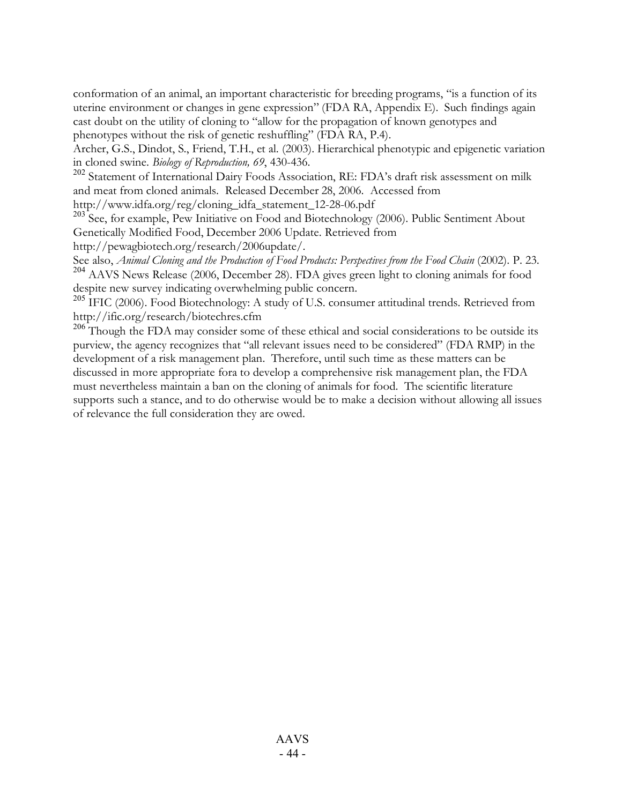conformation of an animal, an important characteristic for breeding programs, "is a function of its uterine environment or changes in gene expression" (FDA RA, Appendix E). Such findings again cast doubt on the utility of cloning to "allow for the propagation of known genotypes and phenotypes without the risk of genetic reshuffling" (FDA RA, P.4).

Archer, G.S., Dindot, S., Friend, T.H., et al. (2003). Hierarchical phenotypic and epigenetic variation in cloned swine. *Biology of Reproduction, <sup>69</sup>*, 430-436. <sup>202</sup> Statement of International Dairy Foods Association, RE: FDA's draft risk assessment on milk

and meat from cloned animals. Released December 28, 2006. Accessed from http://www.idfa.org/reg/cloning\_idfa\_statement\_12-28-06.pdf

 $203$  See, for example, Pew Initiative on Food and Biotechnology (2006). Public Sentiment About Genetically Modified Food, December 2006 Update. Retrieved from

http://pewagbiotech.org/research/2006update/.

See also, Animal Cloning and the Production of Food Products: Perspectives from the Food Chain (2002). P. 23.<br><sup>204</sup> AAVS News Release (2006, December 28). FDA gives green light to cloning animals for food despite new survey indicating overwhelming public concern.<br><sup>205</sup> IFIC (2006). Food Biotechnology: A study of U.S. consumer attitudinal trends. Retrieved from

http://ific.org/research/biotechres.cfm

 $206$  Though the FDA may consider some of these ethical and social considerations to be outside its purview, the agency recognizes that "all relevant issues need to be considered" (FDA RMP) in the development of a risk management plan. Therefore, until such time as these matters can be discussed in more appropriate fora to develop a comprehensive risk management plan, the FDA must nevertheless maintain a ban on the cloning of animals for food. The scientific literature supports such a stance, and to do otherwise would be to make a decision without allowing all issues of relevance the full consideration they are owed.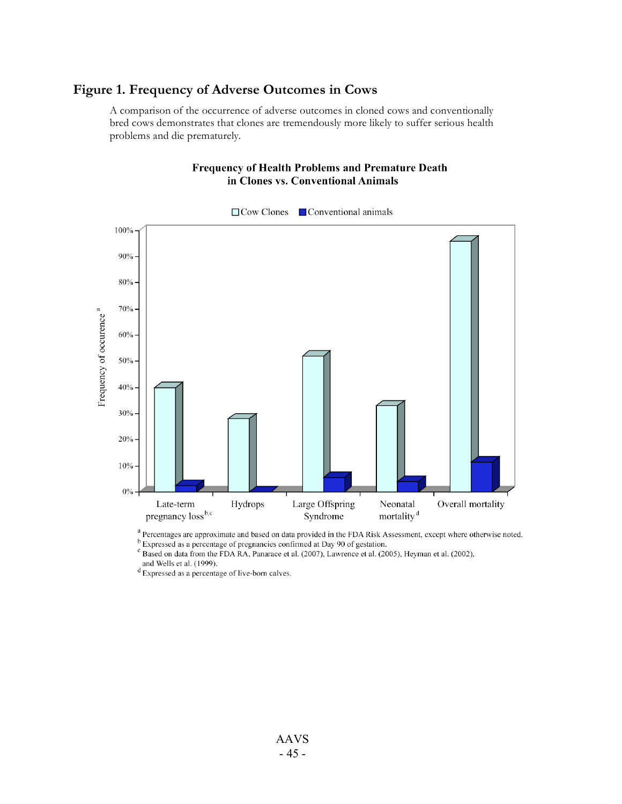## **Figure 1. Frequency of Adverse Outcomes in Cows**

A comparison of the occurrence of adverse outcomes in cloned cows and conventionally bred cows demonstrates that clones are tremendously more likely to suffer serious health problems and die prematurely.

#### **Frequency of Health Problems and Premature Death** in Clones vs. Conventional Animals



 $\Box$  Cow Clones  $\Box$  Conventional animals

<sup>a</sup> Percentages are approximate and based on data provided in the FDA Risk Assessment, except where otherwise noted. <sup>b</sup> Expressed as a percentage of pregnancies confirmed at Day 90 of gestation.

<sup>c</sup> Based on data from the FDA RA, Panarace et al. (2007), Lawrence et al. (2005), Heyman et al. (2002), and Wells et al. (1999).

 $d$  Expressed as a percentage of live-born calves.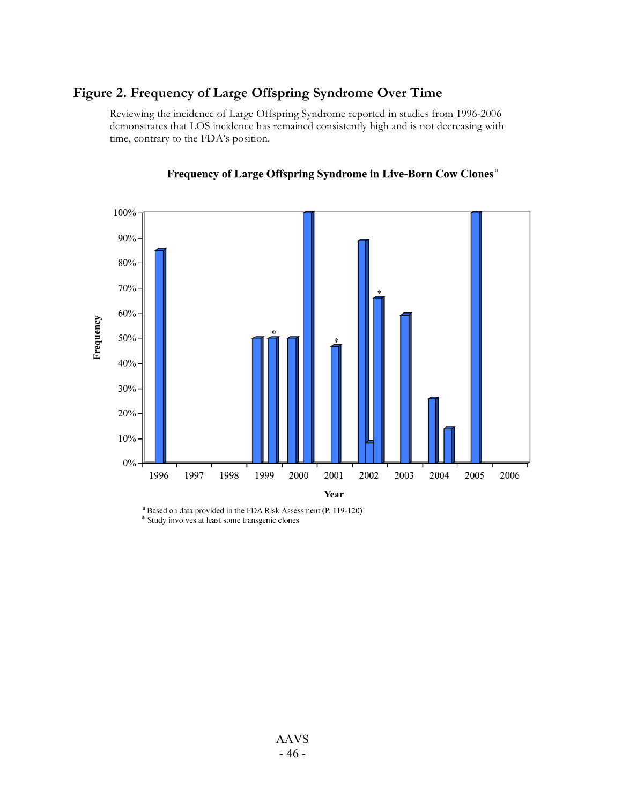## **Figure 2. Frequency of Large Offspring Syndrome Over Time**

Reviewing the incidence of Large Offspring Syndrome reported in studies from 1996-2006 demonstrates that LOS incidence has remained consistently high and is not decreasing with time, contrary to the FDA's position.



#### Frequency of Large Offspring Syndrome in Live-Born Cow Clones<sup>a</sup>

<sup>a</sup> Based on data provided in the FDA Risk Assessment (P. 119-120) \* Study involves at least some transgenic clones